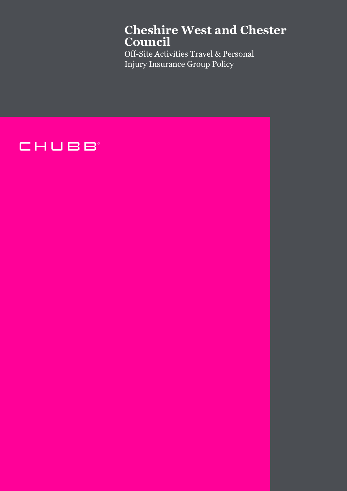# **Cheshire West and Chester Council**

Off-Site Activities Travel & Personal Injury Insurance Group Policy

# CHUBB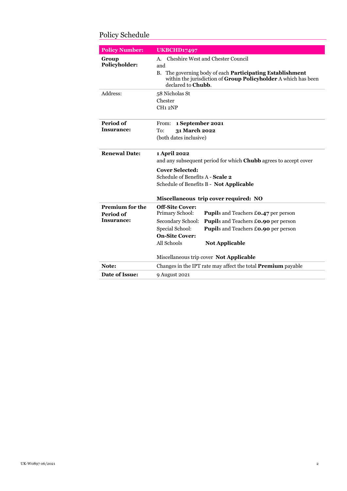| <b>Policy Number:</b>                             | <b>UKBCHD17497</b>                                                                                                                                                                                                                                                                                                           |
|---------------------------------------------------|------------------------------------------------------------------------------------------------------------------------------------------------------------------------------------------------------------------------------------------------------------------------------------------------------------------------------|
| Group<br>Policyholder:                            | Cheshire West and Chester Council<br>А.<br>and<br>The governing body of each <b>Participating Establishment</b><br>В.<br>within the jurisdiction of Group Policyholder A which has been<br>declared to Chubb.                                                                                                                |
| Address:                                          | 58 Nicholas St<br>Chester<br>CH <sub>12</sub> NP                                                                                                                                                                                                                                                                             |
| Period of<br>Insurance:                           | 1 September 2021<br>From:<br>To:<br>31 March 2022<br>(both dates inclusive)                                                                                                                                                                                                                                                  |
| <b>Renewal Date:</b>                              | 1 April 2022<br>and any subsequent period for which Chubb agrees to accept cover<br><b>Cover Selected:</b><br>Schedule of Benefits A - Scale 2<br>Schedule of Benefits B - Not Applicable<br>Miscellaneous trip cover required: NO                                                                                           |
| <b>Premium for the</b><br>Period of<br>Insurance: | <b>Off-Site Cover:</b><br>Primary School:<br>Pupils and Teachers £0.47 per person<br>Secondary School:<br>Pupils and Teachers £0.90 per person<br>Special School:<br><b>Pupils and Teachers £0.90 per person</b><br><b>On-Site Cover:</b><br>All Schools<br><b>Not Applicable</b><br>Miscellaneous trip cover Not Applicable |
| Note:                                             | Changes in the IPT rate may affect the total <b>Premium</b> payable                                                                                                                                                                                                                                                          |
| Date of Issue:                                    | 9 August 2021                                                                                                                                                                                                                                                                                                                |

# <span id="page-1-0"></span>Policy Schedule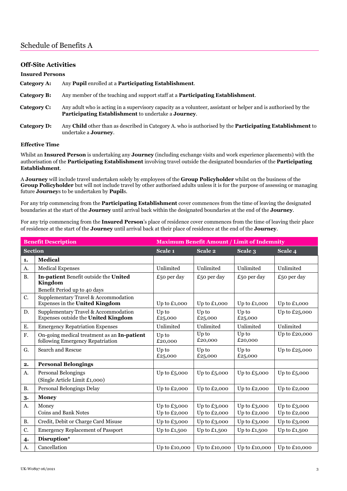# <span id="page-2-0"></span>Schedule of Benefits A

## <span id="page-2-1"></span>**Off-Site Activities**

| <b>Insured Persons</b> |                                                                                                                                                                                      |
|------------------------|--------------------------------------------------------------------------------------------------------------------------------------------------------------------------------------|
| Category A:            | Any <b>Pupil</b> enrolled at a <b>Participating Establishment</b> .                                                                                                                  |
| Category B:            | Any member of the teaching and support staff at a <b>Participating Establishment</b> .                                                                                               |
| Category C:            | Any adult who is acting in a supervisory capacity as a volunteer, assistant or helper and is authorised by the<br><b>Participating Establishment</b> to undertake a <b>Journey</b> . |
| Category D:            | Any Child other than as described in Category A. who is authorised by the Participating Establishment to<br>undertake a <b>Journey</b> .                                             |

#### <span id="page-2-2"></span>**Effective Time**

Whilst an **Insured Person** is undertaking any **Journey** (including exchange visits and work experience placements) with the authorisation of the **Participating Establishment** involving travel outside the designated boundaries of the **Participating Establishment**.

A **Journey** will include travel undertaken solely by employees of the **Group Policyholder** whilst on the business of the **Group Policyholder** but will not include travel by other authorised adults unless it is for the purpose of assessing or managing future **Journey**s to be undertaken by **Pupil**s.

For any trip commencing from the **Participating Establishment** cover commences from the time of leaving the designated boundaries at the start of the **Journey** until arrival back within the designated boundaries at the end of the **Journey**.

For any trip commencing from the **Insured Person**'s place of residence cover commences from the time of leaving their place of residence at the start of the **Journey** until arrival back at their place of residence at the end of the **Journey**.

| <b>Benefit Description</b><br><b>Maximum Benefit Amount / Limit of Indemnity</b> |                                                                                 |                  |                  |                  |                |
|----------------------------------------------------------------------------------|---------------------------------------------------------------------------------|------------------|------------------|------------------|----------------|
| Section                                                                          |                                                                                 | Scale 1          | Scale 2          | Scale 3          | Scale 4        |
| 1.                                                                               | <b>Medical</b>                                                                  |                  |                  |                  |                |
| A.                                                                               | <b>Medical Expenses</b>                                                         | Unlimited        | Unlimited        | Unlimited        | Unlimited      |
| <b>B.</b>                                                                        | In-patient Benefit outside the United<br>Kingdom                                | $£50$ per day    | $£50$ per day    | $£50$ per day    | $£50$ per day  |
|                                                                                  | Benefit Period up to 40 days                                                    |                  |                  |                  |                |
| C.                                                                               | Supplementary Travel & Accommodation<br>Expenses in the United Kingdom          | Up to £1,000     | Up to £1,000     | Up to $£1,000$   | Up to $£1,000$ |
| D.                                                                               | Supplementary Travel & Accommodation<br>Expenses outside the United Kingdom     | Up to<br>£25,000 | Up to<br>£25,000 | Up to<br>£25,000 | Up to £25,000  |
| Ε.                                                                               | <b>Emergency Repatriation Expenses</b>                                          | Unlimited        | Unlimited        | Unlimited        | Unlimited      |
| F.                                                                               | On-going medical treatment as an In-patient<br>following Emergency Repatriation | Up to<br>£20,000 | Up to<br>£20,000 | Up to<br>£20,000 | Up to £20,000  |
| G.                                                                               | Search and Rescue                                                               | Up to<br>£25,000 | Up to<br>£25,000 | Up to<br>£25,000 | Up to £25,000  |
| 2.                                                                               | <b>Personal Belongings</b>                                                      |                  |                  |                  |                |
| A.                                                                               | Personal Belongings<br>(Single Article Limit £1,000)                            | Up to $£5,000$   | Up to $£5,000$   | Up to $£5,000$   | Up to $£5,000$ |
| <b>B.</b>                                                                        | Personal Belongings Delay                                                       | Up to £2,000     | Up to £2,000     | Up to £2,000     | Up to $£2,000$ |
| 3.                                                                               | <b>Money</b>                                                                    |                  |                  |                  |                |
| A.                                                                               | Money                                                                           | Up to $£3,000$   | Up to $£3,000$   | Up to $£3,000$   | Up to $£3,000$ |
|                                                                                  | <b>Coins and Bank Notes</b>                                                     | Up to £2,000     | Up to £2,000     | Up to £2,000     | Up to £2,000   |
| <b>B.</b>                                                                        | Credit, Debit or Charge Card Misuse                                             | Up to $£3,000$   | Up to $£3,000$   | Up to $£3,000$   | Up to $£3,000$ |
| C.                                                                               | <b>Emergency Replacement of Passport</b>                                        | Up to $£1,500$   | Up to $£1,500$   | Up to $£1,500$   | Up to $£1,500$ |
| $\ddot{ }$                                                                       | Disruption*                                                                     |                  |                  |                  |                |
| A.                                                                               | Cancellation                                                                    | Up to £10,000    | Up to £10,000    | Up to £10,000    | Up to £10,000  |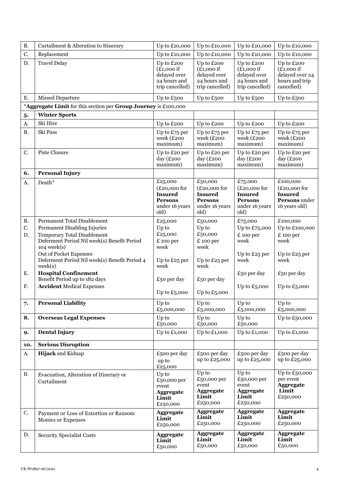| <b>B.</b> | Curtailment & Alteration to Itinerary                                                                 | Up to £10,000                                                                           | Up to £10,000                                                                           | Up to £10,000                                                                           | Up to £10,000                                                                  |
|-----------|-------------------------------------------------------------------------------------------------------|-----------------------------------------------------------------------------------------|-----------------------------------------------------------------------------------------|-----------------------------------------------------------------------------------------|--------------------------------------------------------------------------------|
| C.        | Replacement                                                                                           | Up to £10,000                                                                           | Up to $£10,000$                                                                         | Up to $£10,000$                                                                         | Up to $£10,000$                                                                |
| D.        | <b>Travel Delay</b>                                                                                   | Up to £200<br>$(E1,000$ if<br>delayed over<br>24 hours and<br>trip cancelled)           | Up to £200<br>$(E1,000$ if<br>delayed over<br>24 hours and<br>trip cancelled)           | Up to £200<br>$(E1,000$ if<br>delayed over<br>24 hours and<br>trip cancelled)           | Up to £200<br>$(E1,000$ if<br>delayed over 24<br>hours and trip<br>cancelled)  |
| Ε.        | <b>Missed Departure</b>                                                                               | Up to £500                                                                              | Up to £500                                                                              | Up to £500                                                                              | Up to £500                                                                     |
|           | *Aggregate Limit for this section per Group Journey is £100,000                                       |                                                                                         |                                                                                         |                                                                                         |                                                                                |
| 5.        | <b>Winter Sports</b>                                                                                  |                                                                                         |                                                                                         |                                                                                         |                                                                                |
| A.        | Ski Hire                                                                                              | Up to £200                                                                              | Up to £200                                                                              | Up to £200                                                                              | Up to £200                                                                     |
| <b>B.</b> | Ski Pass                                                                                              | Up to £75 per<br>week (£200<br>maximum)                                                 | Up to £75 per<br>week (£200<br>maximum)                                                 | Up to $E_{75}$ per<br>week (£200<br>maximum)                                            | Up to $£75$ per<br>week (£200<br>maximum)                                      |
| C.        | Piste Closure                                                                                         | Up to £20 per<br>day (£200<br>maximum)                                                  | Up to £20 per<br>day $(E200$<br>maximum)                                                | Up to £20 per<br>day (£200<br>maximum)                                                  | Up to £20 per<br>day $(E200$<br>maximum)                                       |
| 6.        | <b>Personal Injury</b>                                                                                |                                                                                         |                                                                                         |                                                                                         |                                                                                |
| А.        | Death*                                                                                                | £25,000<br>$(E20,000$ for<br><b>Insured</b><br><b>Persons</b><br>under 16 years<br>old) | £50,000<br>$(E20,000$ for<br><b>Insured</b><br><b>Persons</b><br>under 16 years<br>old) | £75,000<br>$(E20,000$ for<br><b>Insured</b><br><b>Persons</b><br>under 16 years<br>old) | £100,000<br>$(E20,000$ for<br><b>Insured</b><br>Persons under<br>16 years old) |
| <b>B.</b> | Permanent Total Disablement                                                                           | £25,000                                                                                 | £50,000                                                                                 | £75,000                                                                                 | £100,000                                                                       |
| C.        | Permanent Disabling Injuries                                                                          | Up to<br>£25,000                                                                        | Up to<br>£50,000                                                                        | Up to £75,000                                                                           | Up to £100,000                                                                 |
| D.        | <b>Temporary Total Disablement</b><br>Deferment Period Nil week(s) Benefit Period<br>$104$ week $(s)$ | £ 100 per<br>week                                                                       | £ 100 per<br>week                                                                       | £ 100 per<br>week                                                                       | £ 100 per<br>week                                                              |
|           | Out of Pocket Expenses<br>Deferment Period Nil week(s) Benefit Period 4<br>week(s)                    | Up to £25 per<br>week                                                                   | Up to £25 per<br>week                                                                   | Up to £25 per<br>week                                                                   | Up to £25 per<br>week                                                          |
| Ε.        | <b>Hospital Confinement</b><br>Benefit Period up to 182 days                                          | £50 per day                                                                             | $£50$ per day                                                                           | £50 per day                                                                             | £50 per day                                                                    |
| F.        | <b>Accident Medical Expenses</b>                                                                      | Up to $£5,000$                                                                          | Up to $£5,000$                                                                          | Up to $£5,000$                                                                          | Up to $£5,000$                                                                 |
| 7.        | <b>Personal Liability</b>                                                                             | $\operatorname{Up}$ to<br>£5,000,000                                                    | Up to<br>£5,000,000                                                                     | Up to<br>£5,000,000                                                                     | Up to<br>£5,000,000                                                            |
| 8.        | <b>Overseas Legal Expenses</b>                                                                        | Up to<br>£50,000                                                                        | Up to<br>£50,000                                                                        | Up to<br>£50,000                                                                        | Up to $£50,000$                                                                |
| 9.        | <b>Dental Injury</b>                                                                                  | Up to $£1,000$                                                                          | Up to $£1,000$                                                                          | Up to £1,000                                                                            | Up to $£1,000$                                                                 |
| 10.       | <b>Serious Disruption</b>                                                                             |                                                                                         |                                                                                         |                                                                                         |                                                                                |
| A.        | Hijack and Kidnap                                                                                     | £500 per day<br>up to<br>£25,000                                                        | £500 per day<br>up to £25,000                                                           | £500 per day<br>up to $£25,000$                                                         | £500 per day<br>up to £25,000                                                  |
| В.        | Evacuation, Alteration of Itinerary or<br>Curtailment                                                 | Up to<br>£50,000 per<br>event<br>Aggregate<br>Limit<br>£250,000                         | Up to<br>£50,000 per<br>event<br>Aggregate<br>Limit<br>£250,000                         | Up to<br>£50,000 per<br>event<br>Aggregate<br>Limit<br>£250,000                         | Up to £50,000<br>per event<br><b>Aggregate</b><br>Limit<br>£250,000            |
| C.        | Payment or Loss of Extortion or Ransom<br>Monies or Expenses                                          | <b>Aggregate</b><br>Limit<br>£250,000                                                   | <b>Aggregate</b><br>Limit<br>£250,000                                                   | <b>Aggregate</b><br>Limit<br>£250,000                                                   | <b>Aggregate</b><br>Limit<br>£250,000                                          |
| D.        | <b>Security Specialist Costs</b>                                                                      | <b>Aggregate</b><br>Limit<br>£50,000                                                    | <b>Aggregate</b><br>Limit<br>£50,000                                                    | <b>Aggregate</b><br>Limit<br>£50,000                                                    | <b>Aggregate</b><br>Limit<br>£50,000                                           |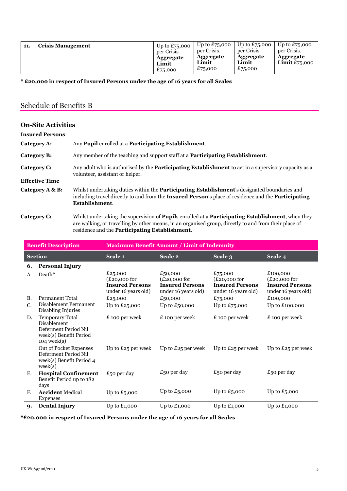| 11. | <b>Crisis Management</b> | Up to $£75,000$<br>per Crisis.<br><b>Aggregate</b><br>Limit<br>£75,000 | Up to $£75,000$<br>per Crisis.<br><b>Aggregate</b><br>Limit<br>£75,000 | Up to $£75,000$<br>per Crisis.<br><b>Aggregate</b><br>Limit<br>£75,000 | Up to $£75,000$<br>per Crisis.<br>Aggregate<br><b>Limit</b> $£75,000$ |
|-----|--------------------------|------------------------------------------------------------------------|------------------------------------------------------------------------|------------------------------------------------------------------------|-----------------------------------------------------------------------|
|-----|--------------------------|------------------------------------------------------------------------|------------------------------------------------------------------------|------------------------------------------------------------------------|-----------------------------------------------------------------------|

**\* £20,000 in respect of Insured Persons under the age of 16 years for all Scales**

# <span id="page-4-0"></span>Schedule of Benefits B

<span id="page-4-1"></span>

| <b>On-Site Activities</b> |                                                                                                                                                                                                                                              |
|---------------------------|----------------------------------------------------------------------------------------------------------------------------------------------------------------------------------------------------------------------------------------------|
| <b>Insured Persons</b>    |                                                                                                                                                                                                                                              |
| Category A:               | Any <b>Pupil</b> enrolled at a <b>Participating Establishment</b> .                                                                                                                                                                          |
| Category B:               | Any member of the teaching and support staff at a <b>Participating Establishment</b> .                                                                                                                                                       |
| Category C:               | Any adult who is authorised by the <b>Participating Establishment</b> to act in a supervisory capacity as a<br>volunteer, assistant or helper.                                                                                               |
| <b>Effective Time</b>     |                                                                                                                                                                                                                                              |
| Category A & B:           | Whilst undertaking duties within the <b>Participating Establishment</b> 's designated boundaries and<br>including travel directly to and from the <b>Insured Person</b> 's place of residence and the <b>Participating</b><br>Establishment. |
| Category C:               | Whilst undertaking the supervision of <b>Pupils</b> enrolled at a <b>Participating Establishment</b> , when they                                                                                                                             |

are walking, or travelling by other means, in an organised group, directly to and from their place of residence and the **Participating Establishment**.

| <b>Benefit Description</b> |                                                                                                             | <b>Maximum Benefit Amount / Limit of Indemnity</b>                         |                                                                            |                                                                            |                                                                             |  |
|----------------------------|-------------------------------------------------------------------------------------------------------------|----------------------------------------------------------------------------|----------------------------------------------------------------------------|----------------------------------------------------------------------------|-----------------------------------------------------------------------------|--|
|                            | <b>Section</b>                                                                                              | Scale 1                                                                    | Scale 2                                                                    | Scale 3                                                                    | Scale 4                                                                     |  |
| 6.                         | <b>Personal Injury</b>                                                                                      |                                                                            |                                                                            |                                                                            |                                                                             |  |
| A                          | Death*                                                                                                      | £25,000<br>$(E20,000$ for<br><b>Insured Persons</b><br>under 16 years old) | £50,000<br>$(E20,000$ for<br><b>Insured Persons</b><br>under 16 years old) | £75,000<br>$(E20,000$ for<br><b>Insured Persons</b><br>under 16 years old) | £100,000<br>$(E20,000$ for<br><b>Insured Persons</b><br>under 16 years old) |  |
| <b>B.</b>                  | Permanent Total                                                                                             | £25,000                                                                    | £50,000                                                                    | £75,000                                                                    | £100,000                                                                    |  |
| $C_{\cdot}$                | Disablement Permanent<br>Disabling Injuries                                                                 | Up to £25,000                                                              | Up to $£50,000$                                                            | Up to $£75,000$                                                            | Up to £100,000                                                              |  |
| D.                         | <b>Temporary Total</b><br>Disablement<br>Deferment Period Nil<br>week(s) Benefit Period<br>$104$ week $(s)$ | £ 100 per week                                                             | £ 100 per week                                                             | £ 100 per week                                                             | £ 100 per week                                                              |  |
|                            | Out of Pocket Expenses<br>Deferment Period Nil<br>week(s) Benefit Period 4<br>week(s)                       | Up to $E25$ per week                                                       | Up to $E25$ per week                                                       | Up to $E25$ per week                                                       | Up to $£25$ per week                                                        |  |
| Ε.                         | <b>Hospital Confinement</b><br>Benefit Period up to 182<br>days                                             | £50 per day                                                                | £50 per day                                                                | £50 per day                                                                | $£50$ per day                                                               |  |
| F.                         | <b>Accident Medical</b><br>Expenses                                                                         | Up to $£5,000$                                                             | Up to $£5,000$                                                             | Up to $£5,000$                                                             | Up to $£5,000$                                                              |  |
| 9.                         | <b>Dental Injury</b>                                                                                        | Up to $£1,000$                                                             | Up to $£1,000$                                                             | Up to £1,000                                                               | Up to $£1,000$                                                              |  |

**\*£20,000 in respect of Insured Persons under the age of 16 years for all Scales**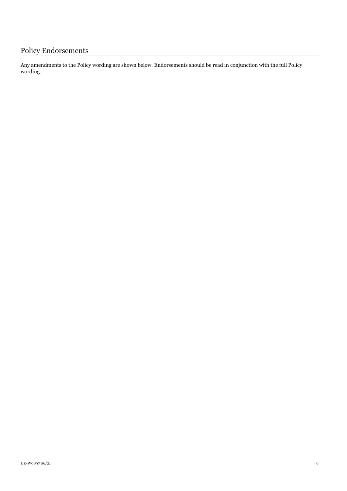<span id="page-5-0"></span>Any amendments to the Policy wording are shown below. Endorsements should be read in conjunction with the full Policy wording.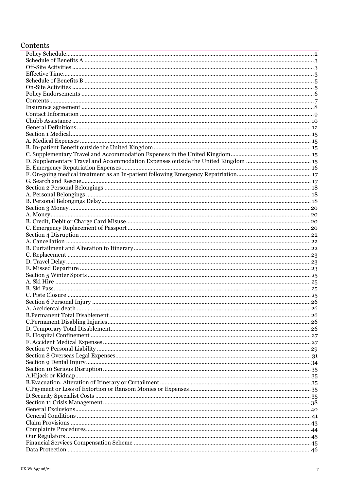# <span id="page-6-0"></span>Contents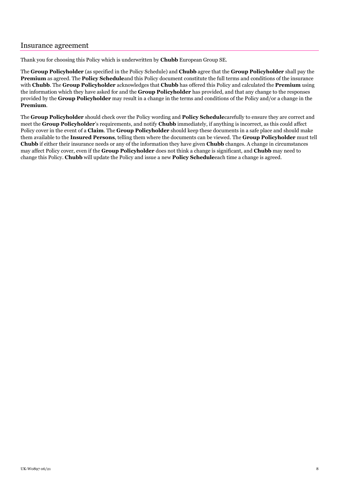## <span id="page-7-0"></span>Insurance agreement

Thank you for choosing this Policy which is underwritten by **Chubb** European Group SE.

The **Group Policyholder** (as specified in the Policy Schedule) and **Chubb** agree that the **Group Policyholder** shall pay the **Premium** as agreed. The **Policy Schedule**and this Policy document constitute the full terms and conditions of the insurance with **Chubb**. The **Group Policyholder** acknowledges that **Chubb** has offered this Policy and calculated the **Premium** using the information which they have asked for and the **Group Policyholder** has provided, and that any change to the responses provided by the **Group Policyholder** may result in a change in the terms and conditions of the Policy and/or a change in the **Premium**.

The **Group Policyholder** should check over the Policy wording and **Policy Schedule**carefully to ensure they are correct and meet the **Group Policyholder**'s requirements, and notify **Chubb** immediately, if anything is incorrect, as this could affect Policy cover in the event of a **Claim**. The **Group Policyholder** should keep these documents in a safe place and should make them available to the **Insured Persons**, telling them where the documents can be viewed. The **Group Policyholder** must tell **Chubb** if either their insurance needs or any of the information they have given **Chubb** changes. A change in circumstances may affect Policy cover, even if the **Group Policyholder** does not think a change is significant, and **Chubb** may need to change this Policy. **Chubb** will update the Policy and issue a new **Policy Schedule**each time a change is agreed.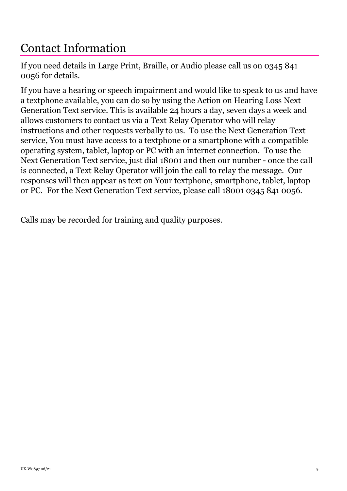# <span id="page-8-0"></span>Contact Information

If you need details in Large Print, Braille, or Audio please call us on 0345 841 0056 for details.

If you have a hearing or speech impairment and would like to speak to us and have a textphone available, you can do so by using the Action on Hearing Loss Next Generation Text service. This is available 24 hours a day, seven days a week and allows customers to contact us via a Text Relay Operator who will relay instructions and other requests verbally to us. To use the Next Generation Text service, You must have access to a textphone or a smartphone with a compatible operating system, tablet, laptop or PC with an internet connection. To use the Next Generation Text service, just dial 18001 and then our number - once the call is connected, a Text Relay Operator will join the call to relay the message. Our responses will then appear as text on Your textphone, smartphone, tablet, laptop or PC. For the Next Generation Text service, please call 18001 0345 841 0056.

Calls may be recorded for training and quality purposes.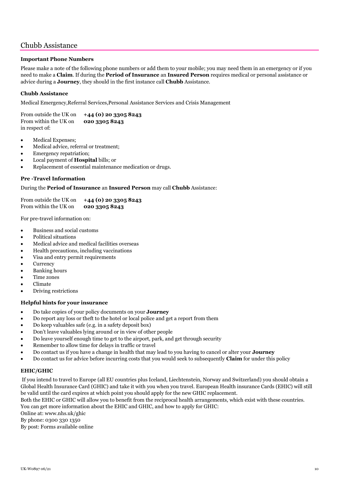# <span id="page-9-0"></span>Chubb Assistance

## **Important Phone Numbers**

Please make a note of the following phone numbers or add them to your mobile; you may need them in an emergency or if you need to make a **Claim**. If during the **Period of Insurance** an **Insured Person** requires medical or personal assistance or advice during a **Journey**, they should in the first instance call **Chubb** Assistance.

### **Chubb Assistance**

Medical Emergency,Referral Services,Personal Assistance Services and Crisis Management

From outside the UK on **+44 (0) 20 3305 8243** From within the UK on **020 3305 8243** in respect of:

- Medical Expenses;
- Medical advice, referral or treatment;
- Emergency repatriation;
- Local payment of **Hospital** bills; or
- Replacement of essential maintenance medication or drugs.

#### **Pre -Travel Information**

During the **Period of Insurance** an **Insured Person** may call **Chubb** Assistance:

From outside the UK on **+44 (0) 20 3305 8243** From within the UK on **020 3305 8243**

For pre-travel information on:

- Business and social customs
- Political situations
- Medical advice and medical facilities overseas
- Health precautions, including vaccinations
- Visa and entry permit requirements
- **Currency**
- Banking hours
- Time zones
- Climate
- Driving restrictions

#### **Helpful hints for your insurance**

- Do take copies of your policy documents on your **Journey**
- Do report any loss or theft to the hotel or local police and get a report from them
- Do keep valuables safe (e.g. in a safety deposit box)
- Don't leave valuables lying around or in view of other people
- Do leave yourself enough time to get to the airport, park, and get through security
- Remember to allow time for delays in traffic or travel
- Do contact us if you have a change in health that may lead to you having to cancel or alter your **Journey**
- Do contact us for advice before incurring costs that you would seek to subsequently **Claim** for under this policy

#### **EHIC/GHIC**

If you intend to travel to Europe (all EU countries plus Iceland, Liechtenstein, Norway and Switzerland) you should obtain a Global Health Insurance Card (GHIC) and take it with you when you travel. European Health insurance Cards (EHIC) will still be valid until the card expires at which point you should apply for the new GHIC replacement.

Both the EHIC or GHIC will allow you to benefit from the reciprocal health arrangements, which exist with these countries. You can get more information about the EHIC and GHIC, and how to apply for GHIC:

Online at: www.nhs.uk/ghic

By phone: 0300 330 1350

By post: Forms available online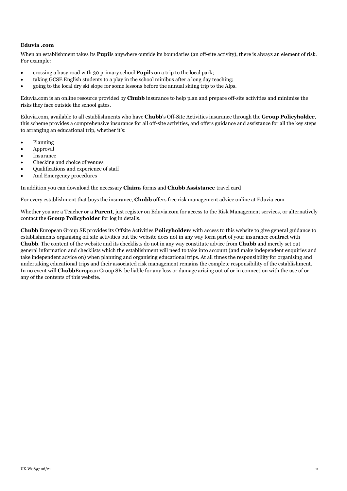#### **Eduvia .com**

When an establishment takes its **Pupil**s anywhere outside its boundaries (an off-site activity), there is always an element of risk. For example:

- crossing a busy road with 30 primary school **Pupil**s on a trip to the local park;
- taking GCSE English students to a play in the school minibus after a long day teaching;
- going to the local dry ski slope for some lessons before the annual skiing trip to the Alps.

Eduvia.com is an online resource provided by **Chubb** insurance to help plan and prepare off-site activities and minimise the risks they face outside the school gates.

Eduvia.com, available to all establishments who have **Chubb**'s Off-Site Activities insurance through the **Group Policyholder**, this scheme provides a comprehensive insurance for all off-site activities, and offers guidance and assistance for all the key steps to arranging an educational trip, whether it's:

- Planning
- Approval
- **Insurance**
- Checking and choice of venues
- Qualifications and experience of staff
- And Emergency procedures

In addition you can download the necessary **Claim**s forms and **Chubb Assistance** travel card

For every establishment that buys the insurance, **Chubb** offers free risk management advice online at Eduvia.com

Whether you are a Teacher or a **Parent**, just register on Eduvia.com for access to the Risk Management services, or alternatively contact the **Group Policyholder** for log in details.

**Chubb** European Group SE provides its Offsite Activities **Policyholder**s with access to this website to give general guidance to establishments organising off site activities but the website does not in any way form part of your insurance contract with **Chubb**. The content of the website and its checklists do not in any way constitute advice from **Chubb** and merely set out general information and checklists which the establishment will need to take into account (and make independent enquiries and take independent advice on) when planning and organising educational trips. At all times the responsibility for organising and undertaking educational trips and their associated risk management remains the complete responsibility of the establishment. In no event will **Chubb**European Group SE be liable for any loss or damage arising out of or in connection with the use of or any of the contents of this website.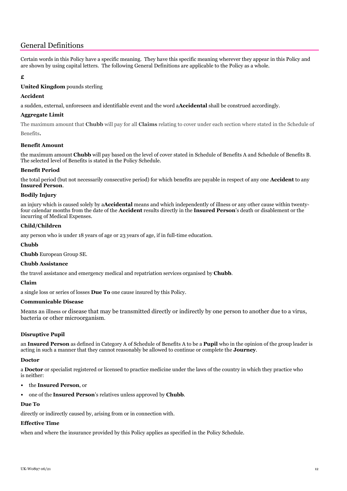# <span id="page-11-0"></span>General Definitions

Certain words in this Policy have a specific meaning. They have this specific meaning wherever they appear in this Policy and are shown by using capital letters. The following General Definitions are applicable to the Policy as a whole.

### **£**

### **United Kingdom** pounds sterling

#### **Accident**

a sudden, external, unforeseen and identifiable event and the word a**Accidental** shall be construed accordingly.

### **Aggregate Limit**

The maximum amount that **Chubb** will pay for all **Claims** relating to cover under each section where stated in the Schedule of Benefits**.**

#### **Benefit Amount**

the maximum amount **Chubb** will pay based on the level of cover stated in Schedule of Benefits A and Schedule of Benefits B. The selected level of Benefits is stated in the Policy Schedule.

#### **Benefit Period**

the total period (but not necessarily consecutive period) for which benefits are payable in respect of any one **Accident** to any **Insured Person**.

#### **Bodily Injury**

an injury which is caused solely by a**Accidental** means and which independently of illness or any other cause within twentyfour calendar months from the date of the **Accident** results directly in the **Insured Person**'s death or disablement or the incurring of Medical Expenses.

#### **Child/Children**

any person who is under 18 years of age or 23 years of age, if in full-time education.

#### **Chubb**

**Chubb** European Group SE.

#### **Chubb Assistance**

the travel assistance and emergency medical and repatriation services organised by **Chubb**.

#### **Claim**

a single loss or series of losses **Due To** one cause insured by this Policy.

#### **Communicable Disease**

Means an illness or disease that may be transmitted directly or indirectly by one person to another due to a virus, bacteria or other microorganism.

#### **Disruptive Pupil**

an **Insured Person** as defined in Category A of Schedule of Benefits A to be a **Pupil** who in the opinion of the group leader is acting in such a manner that they cannot reasonably be allowed to continue or complete the **Journey**.

#### **Doctor**

a **Doctor** or specialist registered or licensed to practice medicine under the laws of the country in which they practice who is neither:

- the **Insured Person**, or
- one of the **Insured Person**'s relatives unless approved by **Chubb**.

#### **Due To**

directly or indirectly caused by, arising from or in connection with.

#### **Effective Time**

when and where the insurance provided by this Policy applies as specified in the Policy Schedule.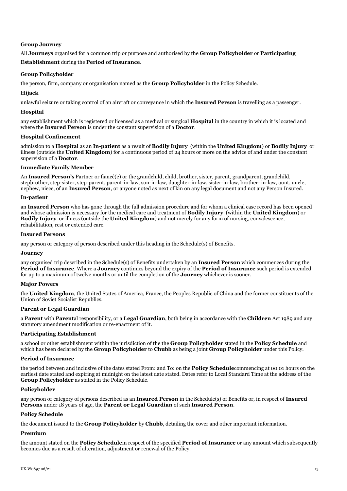#### **Group Journey**

All **Journeys** organised for a common trip or purpose and authorised by the **Group Policyholder** or **Participating Establishment** during the **Period of Insurance**.

#### **Group Policyholder**

the person, firm, company or organisation named as the **Group Policyholder** in the Policy Schedule.

#### **Hijack**

unlawful seizure or taking control of an aircraft or conveyance in which the **Insured Person** is travelling as a passenger.

#### **Hospital**

any establishment which is registered or licensed as a medical or surgical **Hospital** in the country in which it is located and where the **Insured Person** is under the constant supervision of a **Doctor**.

#### **Hospital Confinement**

admission to a **Hospital** as an **In-patient** as a result of **Bodily Injury** (within the **United Kingdom**) or **Bodily Injury** or illness (outside the **United Kingdom**) for a continuous period of 24 hours or more on the advice of and under the constant supervision of a **Doctor**.

#### **Immediate Family Member**

An **Insured Person's** Partner or fiancé(e) or the grandchild, child, brother, sister, parent, grandparent, grandchild, stepbrother, step-sister, step-parent, parent-in-law, son-in-law, daughter-in-law, sister-in-law, brother- in-law, aunt, uncle, nephew, niece, of an **Insured Person**, or anyone noted as next of kin on any legal document and not any Person Insured.

#### **In-patient**

an **Insured Person** who has gone through the full admission procedure and for whom a clinical case record has been opened and whose admission is necessary for the medical care and treatment of **Bodily Injury** (within the **United Kingdom**) or **Bodily Injury** or illness (outside the **United Kingdom**) and not merely for any form of nursing, convalescence, rehabilitation, rest or extended care.

#### **Insured Persons**

any person or category of person described under this heading in the Schedule(s) of Benefits.

#### **Journey**

any organised trip described in the Schedule(s) of Benefits undertaken by an **Insured Person** which commences during the **Period of Insurance**. Where a **Journey** continues beyond the expiry of the **Period of Insurance** such period is extended for up to a maximum of twelve months or until the completion of the **Journey** whichever is sooner.

#### **Major Powers**

the **United Kingdom**, the United States of America, France, the Peoples Republic of China and the former constituents of the Union of Soviet Socialist Republics.

#### **Parent or Legal Guardian**

a **Parent** with **Parent**al responsibility, or a **Legal Guardian**, both being in accordance with the **Children** Act 1989 and any statutory amendment modification or re-enactment of it.

#### **Participating Establishment**

a school or other establishment within the jurisdiction of the the **Group Policyholder** stated in the **Policy Schedule** and which has been declared by the **Group Policyholder** to **Chubb** as being a joint **Group Policyholder** under this Policy.

#### **Period of Insurance**

the period between and inclusive of the dates stated From: and To: on the **Policy Schedule**commencing at 00.01 hours on the earliest date stated and expiring at midnight on the latest date stated. Dates refer to Local Standard Time at the address of the **Group Policyholder** as stated in the Policy Schedule.

#### **Policyholder**

any person or category of persons described as an **Insured Person** in the Schedule(s) of Benefits or, in respect of **Insured Persons** under 18 years of age, the **Parent or Legal Guardian** of such **Insured Person**.

#### **Policy Schedule**

the document issued to the **Group Policyholder** by **Chubb**, detailing the cover and other important information.

#### **Premium**

the amount stated on the **Policy Schedule**in respect of the specified **Period of Insurance** or any amount which subsequently becomes due as a result of alteration, adjustment or renewal of the Policy.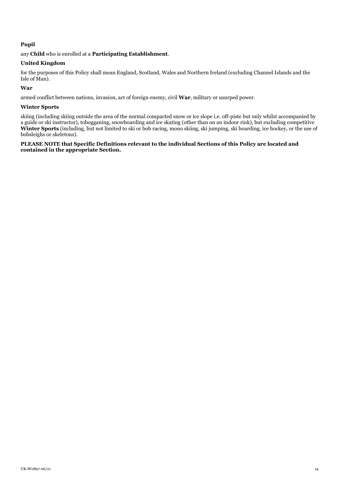### **Pupil**

any **Child** who is enrolled at a **Participating Establishment**.

#### **United Kingdom**

for the purposes of this Policy shall mean England, Scotland, Wales and Northern Ireland (excluding Channel Islands and the Isle of Man).

#### **War**

armed conflict between nations, invasion, act of foreign enemy, civil **War**, military or usurped power.

#### **Winter Sports**

skiing (including skiing outside the area of the normal compacted snow or ice slope i.e. off-piste but only whilst accompanied by a guide or ski instructor), tobogganing, snowboarding and ice skating (other than on an indoor rink), but excluding competitive Winter Sports (including, but not limited to ski or bob racing, mono skiing, ski jumping, ski boarding, ice hockey, or the use of bobsleighs or skeletons).

#### **PLEASE NOTE that Specific Definitions relevant to the individual Sections of this Policy are located and contained in the appropriate Section.**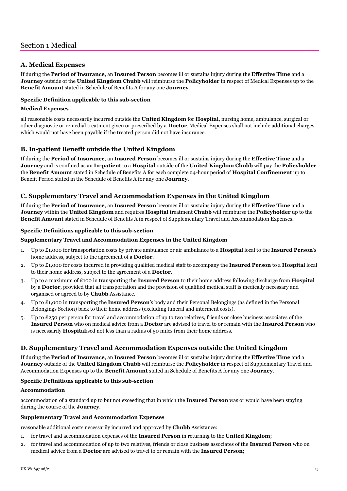## <span id="page-14-1"></span><span id="page-14-0"></span>**A. Medical Expenses**

If during the **Period of Insurance**, an **Insured Person** becomes ill or sustains injury during the **Effective Time** and a **Journey** outside of the **United Kingdom Chubb** will reimburse the **Policyholder** in respect of Medical Expenses up to the **Benefit Amount** stated in Schedule of Benefits A for any one **Journey**.

## **Specific Definition applicable to this sub-section**

#### **Medical Expenses**

all reasonable costs necessarily incurred outside the **United Kingdom** for **Hospital**, nursing home, ambulance, surgical or other diagnostic or remedial treatment given or prescribed by a **Doctor**. Medical Expenses shall not include additional charges which would not have been payable if the treated person did not have insurance.

## <span id="page-14-2"></span>**B. In-patient Benefit outside the United Kingdom**

If during the **Period of Insurance**, an **Insured Person** becomes ill or sustains injury during the **Effective Time** and a **Journey** and is confined as an **In-patient** to a **Hospital** outside of the **United Kingdom Chubb** will pay the **Policyholder** the **Benefit Amount** stated in Schedule of Benefits A for each complete 24-hour period of **Hospital Confinement** up to Benefit Period stated in the Schedule of Benefits A for any one **Journey**.

## <span id="page-14-3"></span>**C. Supplementary Travel and Accommodation Expenses in the United Kingdom**

If during the **Period of Insurance**, an **Insured Person** becomes ill or sustains injury during the **Effective Time** and a **Journey** within the **United Kingdom** and requires **Hospital** treatment **Chubb** will reimburse the **Policyholder** up to the **Benefit Amount** stated in Schedule of Benefits A in respect of Supplementary Travel and Accommodation Expenses.

#### **Specific Definitions applicable to this sub-section**

#### **Supplementary Travel and Accommodation Expenses in the United Kingdom**

- 1. Up to £1,000 for transportation costs by private ambulance or air ambulance to a **Hospital** local to the **Insured Person**'s home address, subject to the agreement of a **Doctor**.
- 2. Up to £1,000 for costs incurred in providing qualified medical staff to accompany the **Insured Person** to a **Hospital** local to their home address, subject to the agreement of a **Doctor**.
- 3. Up to a maximum of £100 in transporting the **Insured Person** to their home address following discharge from **Hospital** by a **Doctor**, provided that all transportation and the provision of qualified medical staff is medically necessary and organised or agreed to by **Chubb** Assistance.
- 4. Up to £1,000 in transporting the **Insured Person**'s body and their Personal Belongings (as defined in the Personal Belongings Section) back to their home address (excluding funeral and interment costs).
- 5. Up to £250 per person for travel and accommodation of up to two relatives, friends or close business associates of the **Insured Person** who on medical advice from a **Doctor** are advised to travel to or remain with the **Insured Person** who is necessarily **Hospital**ised not less than a radius of 50 miles from their home address.

## <span id="page-14-4"></span>**D. Supplementary Travel and Accommodation Expenses outside the United Kingdom**

If during the **Period of Insurance**, an **Insured Person** becomes ill or sustains injury during the **Effective Time** and a **Journey** outside of the **United Kingdom Chubb** will reimburse the **Policyholder** in respect of Supplementary Travel and Accommodation Expenses up to the **Benefit Amount** stated in Schedule of Benefits A for any one **Journey**.

#### **Specific Definitions applicable to this sub-section**

#### **Accommodation**

accommodation of a standard up to but not exceeding that in which the **Insured Person** was or would have been staying during the course of the **Journey**.

#### **Supplementary Travel and Accommodation Expenses**

reasonable additional costs necessarily incurred and approved by **Chubb** Assistance:

- 1. for travel and accommodation expenses of the **Insured Person** in returning to the **United Kingdom**;
- 2. for travel and accommodation of up to two relatives, friends or close business associates of the **Insured Person** who on medical advice from a **Doctor** are advised to travel to or remain with the **Insured Person**;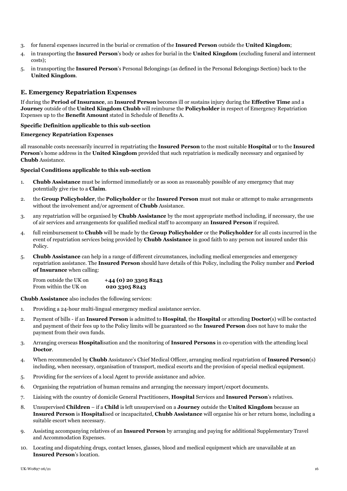- 3. for funeral expenses incurred in the burial or cremation of the **Insured Person** outside the **United Kingdom**;
- 4. in transporting the **Insured Person**'s body or ashes for burial in the **United Kingdom** (excluding funeral and interment costs);
- 5. in transporting the **Insured Person**'s Personal Belongings (as defined in the Personal Belongings Section) back to the **United Kingdom**.

## <span id="page-15-0"></span>**E. Emergency Repatriation Expenses**

If during the **Period of Insurance**, an **Insured Person** becomes ill or sustains injury during the **Effective Time** and a **Journey** outside of the **United Kingdom Chubb** will reimburse the **Policyholder** in respect of Emergency Repatriation Expenses up to the **Benefit Amount** stated in Schedule of Benefits A.

#### **Specific Definition applicable to this sub-section**

#### **Emergency Repatriation Expenses**

all reasonable costs necessarily incurred in repatriating the **Insured Person** to the most suitable **Hospital** or to the **Insured Person**'s home address in the **United Kingdom** provided that such repatriation is medically necessary and organised by **Chubb** Assistance.

#### **Special Conditions applicable to this sub-section**

- 1. **Chubb Assistance** must be informed immediately or as soon as reasonably possible of any emergency that may potentially give rise to a **Claim**.
- 2. the **Group Policyholder**, the **Policyholder** or the **Insured Person** must not make or attempt to make arrangements without the involvement and/or agreement of **Chubb** Assistance.
- 3. any repatriation will be organised by **Chubb Assistance** by the most appropriate method including, if necessary, the use of air services and arrangements for qualified medical staff to accompany an **Insured Person** if required.
- 4. full reimbursement to **Chubb** will be made by the **Group Policyholder** or the **Policyholder** for all costs incurred in the event of repatriation services being provided by **Chubb Assistance** in good faith to any person not insured under this Policy.
- 5. **Chubb Assistance** can help in a range of different circumstances, including medical emergencies and emergency repatriation assistance. The **Insured Person** should have details of this Policy, including the Policy number and **Period of Insurance** when calling:

From outside the UK on **+44 (0) 20 3305 8243** From within the UK on **020 3305 8243**

**Chubb Assistance** also includes the following services:

- 1. Providing a 24-hour multi-lingual emergency medical assistance service.
- 2. Payment of bills if an **Insured Person** is admitted to **Hospital**, the **Hospital** or attending **Doctor**(s) will be contacted and payment of their fees up to the Policy limits will be guaranteed so the **Insured Person** does not have to make the payment from their own funds.
- 3. Arranging overseas **Hospital**isation and the monitoring of **Insured Persons** in co-operation with the attending local **Doctor**.
- 4. When recommended by **Chubb** Assistance's Chief Medical Officer, arranging medical repatriation of **Insured Person**(s) including, when necessary, organisation of transport, medical escorts and the provision of special medical equipment.
- 5. Providing for the services of a local Agent to provide assistance and advice.
- 6. Organising the repatriation of human remains and arranging the necessary import/export documents.
- 7. Liaising with the country of domicile General Practitioners, **Hospital** Services and **Insured Person**'s relatives.
- 8. Unsupervised **Children** if a **Child** is left unsupervised on a **Journey** outside the **United Kingdom** because an **Insured Person** is **Hospital**ised or incapacitated, **Chubb Assistance** will organise his or her return home, including a suitable escort when necessary.
- 9. Assisting accompanying relatives of an **Insured Person** by arranging and paying for additional Supplementary Travel and Accommodation Expenses.
- 10. Locating and dispatching drugs, contact lenses, glasses, blood and medical equipment which are unavailable at an **Insured Person**'s location.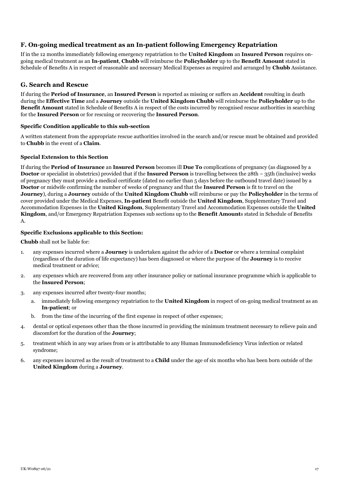## <span id="page-16-0"></span>**F. On-going medical treatment as an In-patient following Emergency Repatriation**

If in the 12 months immediately following emergency repatriation to the **United Kingdom** an **Insured Person** requires ongoing medical treatment as an **In-patient**, **Chubb** will reimburse the **Policyholder** up to the **Benefit Amount** stated in Schedule of Benefits A in respect of reasonable and necessary Medical Expenses as required and arranged by **Chubb** Assistance.

## <span id="page-16-1"></span>**G. Search and Rescue**

If during the **Period of Insurance**, an **Insured Person** is reported as missing or suffers an **Accident** resulting in death during the **Effective Time** and a **Journey** outside the **United Kingdom Chubb** will reimburse the **Policyholder** up to the **Benefit Amount** stated in Schedule of Benefits A in respect of the costs incurred by recognised rescue authorities in searching for the **Insured Person** or for rescuing or recovering the **Insured Person**.

#### **Specific Condition applicable to this sub-section**

A written statement from the appropriate rescue authorities involved in the search and/or rescue must be obtained and provided to **Chubb** in the event of a **Claim**.

#### **Special Extension to this Section**

If during the **Period of Insurance** an **Insured Person** becomes ill **Due To** complications of pregnancy (as diagnosed by a **Doctor** or specialist in obstetrics) provided that if the **Insured Person** is travelling between the 28th – 35th (inclusive) weeks of pregnancy they must provide a medical certificate (dated no earlier than 5 days before the outbound travel date) issued by a **Doctor** or midwife confirming the number of weeks of pregnancy and that the **Insured Person** is fit to travel on the **Journey**), during a **Journey** outside of the **United Kingdom Chubb** will reimburse or pay the **Policyholder** in the terms of cover provided under the Medical Expenses, **In-patient** Benefit outside the **United Kingdom**, Supplementary Travel and Accommodation Expenses in the **United Kingdom**, Supplementary Travel and Accommodation Expenses outside the **United Kingdom**, and/or Emergency Repatriation Expenses sub sections up to the **Benefit Amount**s stated in Schedule of Benefits A.

#### **Specific Exclusions applicable to this Section:**

**Chubb** shall not be liable for:

- 1. any expenses incurred where a **Journey** is undertaken against the advice of a **Doctor** or where a terminal complaint (regardless of the duration of life expectancy) has been diagnosed or where the purpose of the **Journey** is to receive medical treatment or advice;
- 2. any expenses which are recovered from any other insurance policy or national insurance programme which is applicable to the **Insured Person**;
- 3. any expenses incurred after twenty-four months;
	- a. immediately following emergency repatriation to the **United Kingdom** in respect of on-going medical treatment as an **In-patient**; or
	- b. from the time of the incurring of the first expense in respect of other expenses;
- 4. dental or optical expenses other than the those incurred in providing the minimum treatment necessary to relieve pain and discomfort for the duration of the **Journey**;
- 5. treatment which in any way arises from or is attributable to any Human Immunodeficiency Virus infection or related syndrome;
- 6. any expenses incurred as the result of treatment to a **Child** under the age of six months who has been born outside of the **United Kingdom** during a **Journey**.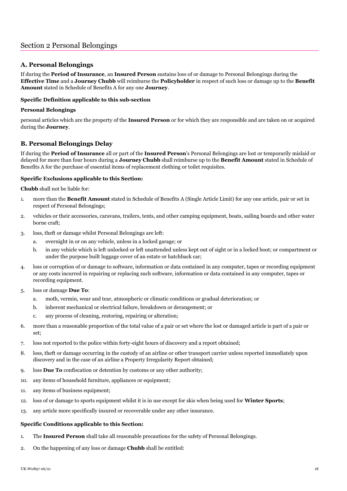## <span id="page-17-1"></span><span id="page-17-0"></span>**A. Personal Belongings**

If during the **Period of Insurance**, an **Insured Person** sustains loss of or damage to Personal Belongings during the **Effective Time** and a **Journey Chubb** will reimburse the **Policyholder** in respect of such loss or damage up to the **Benefit Amount** stated in Schedule of Benefits A for any one **Journey**.

## **Specific Definition applicable to this sub-section**

#### **Personal Belongings**

personal articles which are the property of the **Insured Person** or for which they are responsible and are taken on or acquired during the **Journey**.

## <span id="page-17-2"></span>**B. Personal Belongings Delay**

If during the **Period of Insurance** all or part of the **Insured Person**'s Personal Belongings are lost or temporarily mislaid or delayed for more than four hours during a **Journey Chubb** shall reimburse up to the **Benefit Amount** stated in Schedule of Benefits A for the purchase of essential items of replacement clothing or toilet requisites.

## **Specific Exclusions applicable to this Section:**

**Chubb** shall not be liable for:

- 1. more than the **Benefit Amount** stated in Schedule of Benefits A (Single Article Limit) for any one article, pair or set in respect of Personal Belongings;
- 2. vehicles or their accessories, caravans, trailers, tents, and other camping equipment, boats, sailing boards and other water borne craft;
- 3. loss, theft or damage whilst Personal Belongings are left:
	- a. overnight in or on any vehicle, unless in a locked garage; or
	- b. in any vehicle which is left unlocked or left unattended unless kept out of sight or in a locked boot; or compartment or under the purpose built luggage cover of an estate or hatchback car;
- 4. loss or corruption of or damage to software, information or data contained in any computer, tapes or recording equipment or any costs incurred in repairing or replacing such software, information or data contained in any computer, tapes or recording equipment.
- 5. loss or damage **Due To**:
	- a. moth, vermin, wear and tear, atmospheric or climatic conditions or gradual deterioration; or
	- b. inherent mechanical or electrical failure, breakdown or derangement; or
	- c. any process of cleaning, restoring, repairing or alteration;
- 6. more than a reasonable proportion of the total value of a pair or set where the lost or damaged article is part of a pair or set;
- 7. loss not reported to the police within forty-eight hours of discovery and a report obtained;
- 8. loss, theft or damage occurring in the custody of an airline or other transport carrier unless reported immediately upon discovery and in the case of an airline a Property Irregularity Report obtained;
- 9. loss **Due To** confiscation or detention by customs or any other authority;
- 10. any items of household furniture, appliances or equipment;
- 11. any items of business equipment;
- 12. loss of or damage to sports equipment whilst it is in use except for skis when being used for **Winter Sports**;
- 13. any article more specifically insured or recoverable under any other insurance.

#### **Specific Conditions applicable to this Section:**

- 1. The **Insured Person** shall take all reasonable precautions for the safety of Personal Belongings.
- 2. On the happening of any loss or damage **Chubb** shall be entitled: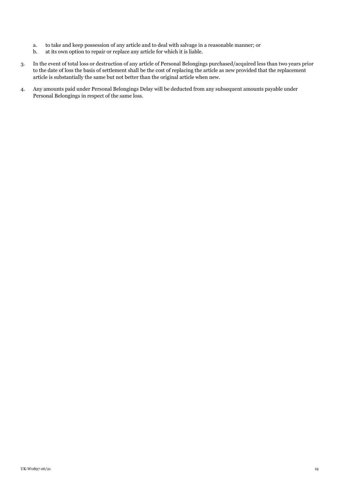- a. to take and keep possession of any article and to deal with salvage in a reasonable manner; or
- b. at its own option to repair or replace any article for which it is liable.
- 3. In the event of total loss or destruction of any article of Personal Belongings purchased/acquired less than two years prior to the date of loss the basis of settlement shall be the cost of replacing the article as new provided that the replacement article is substantially the same but not better than the original article when new.
- 4. Any amounts paid under Personal Belongings Delay will be deducted from any subsequent amounts payable under Personal Belongings in respect of the same loss.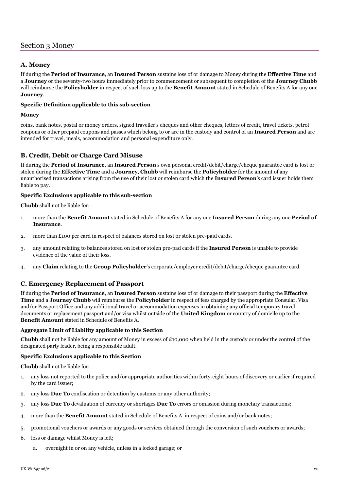# <span id="page-19-0"></span>Section 3 Money

## <span id="page-19-1"></span>**A. Money**

If during the **Period of Insurance**, an **Insured Person** sustains loss of or damage to Money during the **Effective Time** and a **Journey** or the seventy-two hours immediately prior to commencement or subsequent to completion of the **Journey Chubb** will reimburse the **Policyholder** in respect of such loss up to the **Benefit Amount** stated in Schedule of Benefits A for any one **Journey**.

### **Specific Definition applicable to this sub-section**

#### **Money**

coins, bank notes, postal or money orders, signed traveller's cheques and other cheques, letters of credit, travel tickets, petrol coupons or other prepaid coupons and passes which belong to or are in the custody and control of an **Insured Person** and are intended for travel, meals, accommodation and personal expenditure only.

## <span id="page-19-2"></span>**B. Credit, Debit or Charge Card Misuse**

If during the **Period of Insurance**, an **Insured Person**'s own personal credit/debit/charge/cheque guarantee card is lost or stolen during the **Effective Time** and a **Journey**, **Chubb** will reimburse the **Policyholder** for the amount of any unauthorised transactions arising from the use of their lost or stolen card which the **Insured Person**'s card issuer holds them liable to pay.

#### **Specific Exclusions applicable to this sub-section**

**Chubb** shall not be liable for:

- 1. more than the **Benefit Amount** stated in Schedule of Benefits A for any one **Insured Person** during any one **Period of Insurance**.
- 2. more than £100 per card in respect of balances stored on lost or stolen pre-paid cards.
- 3. any amount relating to balances stored on lost or stolen pre-pad cards if the **Insured Person** is unable to provide evidence of the value of their loss.
- 4. any **Claim** relating to the **Group Policyholder**'s corporate/employer credit/debit/charge/cheque guarantee card.

## <span id="page-19-3"></span>**C. Emergency Replacement of Passport**

If during the **Period of Insurance**, an **Insured Person** sustains loss of or damage to their passport during the **Effective Time** and a **Journey Chubb** will reimburse the **Policyholder** in respect of fees charged by the appropriate Consular, Visa and/or Passport Office and any additional travel or accommodation expenses in obtaining any official temporary travel documents or replacement passport and/or visa whilst outside of the **United Kingdom** or country of domicile up to the **Benefit Amount** stated in Schedule of Benefits A.

#### **Aggregate Limit of Liability applicable to this Section**

**Chubb** shall not be liable for any amount of Money in excess of £10,000 when held in the custody or under the control of the designated party leader, being a responsible adult.

#### **Specific Exclusions applicable to this Section**

**Chubb** shall not be liable for:

- 1. any loss not reported to the police and/or appropriate authorities within forty-eight hours of discovery or earlier if required by the card issuer;
- 2. any loss **Due To** confiscation or detention by customs or any other authority;
- 3. any loss **Due To** devaluation of currency or shortages **Due To** errors or omission during monetary transactions;
- 4. more than the **Benefit Amount** stated in Schedule of Benefits A in respect of coins and/or bank notes;
- 5. promotional vouchers or awards or any goods or services obtained through the conversion of such vouchers or awards;
- 6. loss or damage whilst Money is left;
	- a. overnight in or on any vehicle, unless in a locked garage; or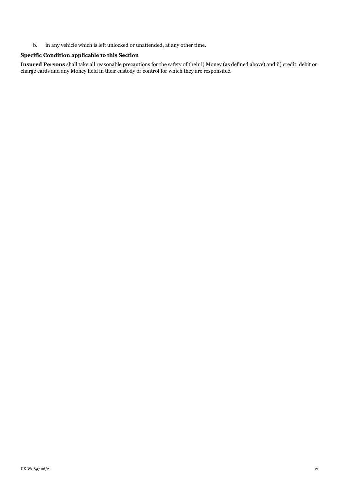b. in any vehicle which is left unlocked or unattended, at any other time.

## **Specific Condition applicable to this Section**

**Insured Persons** shall take all reasonable precautions for the safety of their i) Money (as defined above) and ii) credit, debit or charge cards and any Money held in their custody or control for which they are responsible.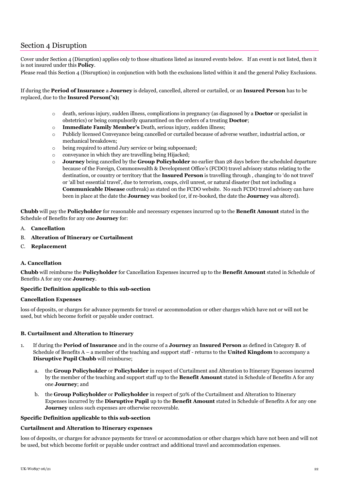# <span id="page-21-0"></span>Section 4 Disruption

Cover under Section 4 (Disruption) applies only to those situations listed as insured events below. If an event is not listed, then it is not insured under this **Policy**.

Please read this Section 4 (Disruption) in conjunction with both the exclusions listed within it and the general Policy Exclusions.

If during the **Period of Insurance** a **Journey** is delayed, cancelled, altered or curtailed, or an **Insured Person** has to be replaced, due to the **Insured Person('s);**

- o death, serious injury, sudden illness, complications in pregnancy (as diagnosed by a **Doctor** or specialist in obstetrics) or being compulsorily quarantined on the orders of a treating **Doctor**;
- o **Immediate Family Member's** Death, serious injury, sudden illness;
- o Publicly licensed Conveyance being cancelled or curtailed because of adverse weather, industrial action, or mechanical breakdown;
- o being required to attend Jury service or being subpoenaed;
- o conveyance in which they are travelling being Hijacked;
- o **Journey** being cancelled by the **Group Policyholder** no earlier than 28 days before the scheduled departure because of the Foreign, Commonwealth & Development Office's (FCDO) travel advisory status relating to the destination, or country or territory that the **Insured Person** is travelling through , changing to 'do not travel' or 'all but essential travel', due to terrorism, coups, civil unrest, or natural disaster (but not including a **Communicable Disease** outbreak) as stated on the FCDO website. No such FCDO travel advisory can have been in place at the date the **Journey** was booked (or, if re-booked, the date the **Journey** was altered).

**Chubb** will pay the **Policyholder** for reasonable and necessary expenses incurred up to the **Benefit Amount** stated in the Schedule of Benefits for any one **Journey** for:

- A. **Cancellation**
- B. **Alteration of Itinerary or Curtailment**
- C. **Replacement**

#### <span id="page-21-1"></span>**A. Cancellation**

**Chubb** will reimburse the **Policyholder** for Cancellation Expenses incurred up to the **Benefit Amount** stated in Schedule of Benefits A for any one **Journey**.

#### **Specific Definition applicable to this sub-section**

#### **Cancellation Expenses**

loss of deposits, or charges for advance payments for travel or accommodation or other charges which have not or will not be used, but which become forfeit or payable under contract.

#### <span id="page-21-2"></span>**B. Curtailment and Alteration to Itinerary**

- 1. If during the **Period of Insurance** and in the course of a **Journey** an **Insured Person** as defined in Category B. of Schedule of Benefits A – a member of the teaching and support staff - returns to the **United Kingdom** to accompany a **Disruptive Pupil Chubb** will reimburse;
	- a. the **Group Policyholder** or **Policyholder** in respect of Curtailment and Alteration to Itinerary Expenses incurred by the member of the teaching and support staff up to the **Benefit Amount** stated in Schedule of Benefits A for any one **Journey**; and
	- b. the **Group Policyholder** or **Policyholder** in respect of 50% of the Curtailment and Alteration to Itinerary Expenses incurred by the **Disruptive Pupil** up to the **Benefit Amount** stated in Schedule of Benefits A for any one **Journey** unless such expenses are otherwise recoverable.

#### **Specific Definition applicable to this sub-section**

#### **Curtailment and Alteration to Itinerary expenses**

loss of deposits, or charges for advance payments for travel or accommodation or other charges which have not been and will not be used, but which become forfeit or payable under contract and additional travel and accommodation expenses.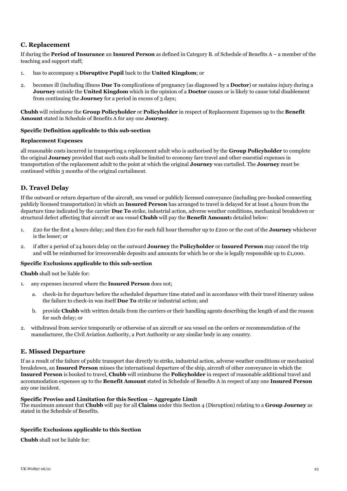## <span id="page-22-0"></span>**C. Replacement**

If during the **Period of Insurance** an **Insured Person** as defined in Category B. of Schedule of Benefits A – a member of the teaching and support staff;

- 1. has to accompany a **Disruptive Pupil** back to the **United Kingdom**; or
- 2. becomes ill (including illness **Due To** complications of pregnancy (as diagnosed by a **Doctor**) or sustains injury during a **Journey** outside the **United Kingdom** which in the opinion of a **Doctor** causes or is likely to cause total disablement from continuing the **Journey** for a period in excess of 3 days;

**Chubb** will reimburse the **Group Policyholder** or **Policyholder** in respect of Replacement Expenses up to the **Benefit Amount** stated in Schedule of Benefits A for any one **Journey**.

#### **Specific Definition applicable to this sub-section**

#### **Replacement Expenses**

all reasonable costs incurred in transporting a replacement adult who is authorised by the **Group Policyholder** to complete the original **Journey** provided that such costs shall be limited to economy fare travel and other essential expenses in transportation of the replacement adult to the point at which the original **Journey** was curtailed. The **Journey** must be continued within 3 months of the original curtailment.

## <span id="page-22-1"></span>**D. Travel Delay**

If the outward or return departure of the aircraft, sea vessel or publicly licensed conveyance (including pre-booked connecting publicly licensed transportation) in which an **Insured Person** has arranged to travel is delayed for at least 4 hours from the departure time indicated by the carrier **Due To** strike, industrial action, adverse weather conditions, mechanical breakdown or structural defect affecting that aircraft or sea vessel **Chubb** will pay the **Benefit Amount**s detailed below:

- 1. £20 for the first 4 hours delay; and then £10 for each full hour thereafter up to £200 or the cost of the **Journey** whichever is the lesser; or
- 2. if after a period of 24 hours delay on the outward **Journey** the **Policyholder** or **Insured Person** may cancel the trip and will be reimbursed for irrecoverable deposits and amounts for which he or she is legally responsible up to £1,000.

#### **Specific Exclusions applicable to this sub-section**

**Chubb** shall not be liable for:

- 1. any expenses incurred where the **Insured Person** does not;
	- a. check-in for departure before the scheduled departure time stated and in accordance with their travel itinerary unless the failure to check-in was itself **Due To** strike or industrial action; and
	- b. provide **Chubb** with written details from the carriers or their handling agents describing the length of and the reason for such delay; or
- 2. withdrawal from service temporarily or otherwise of an aircraft or sea vessel on the orders or recommendation of the manufacturer, the Civil Aviation Authority, a Port Authority or any similar body in any country.

#### <span id="page-22-2"></span>**E. Missed Departure**

If as a result of the failure of public transport due directly to strike, industrial action, adverse weather conditions or mechanical breakdown, an **Insured Person** misses the international departure of the ship, aircraft of other conveyance in which the **Insured Person** is booked to travel, **Chubb** will reimburse the **Policyholder** in respect of reasonable additional travel and accommodation expenses up to the **Benefit Amount** stated in Schedule of Benefits A in respect of any one **Insured Person** any one incident.

#### **Specific Proviso and Limitation for this Section – Aggregate Limit**

The maximum amount that **Chubb** will pay for all **Claims** under this Section 4 (Disruption) relating to a **Group Journey** as stated in the Schedule of Benefits*.*

#### **Specific Exclusions applicable to this Section**

**Chubb** shall not be liable for: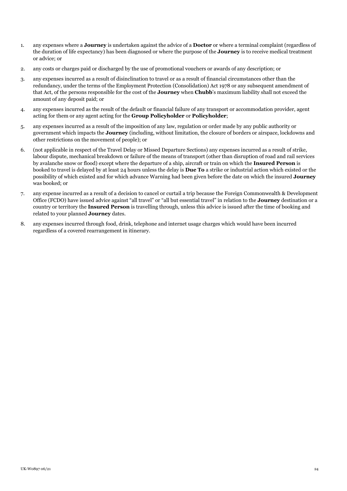- 1. any expenses where a **Journey** is undertaken against the advice of a **Doctor** or where a terminal complaint (regardless of the duration of life expectancy) has been diagnosed or where the purpose of the **Journey** is to receive medical treatment or advice; or
- 2. any costs or charges paid or discharged by the use of promotional vouchers or awards of any description; or
- 3. any expenses incurred as a result of disinclination to travel or as a result of financial circumstances other than the redundancy, under the terms of the Employment Protection (Consolidation) Act 1978 or any subsequent amendment of that Act, of the persons responsible for the cost of the **Journey** when **Chubb**'s maximum liability shall not exceed the amount of any deposit paid; or
- 4. any expenses incurred as the result of the default or financial failure of any transport or accommodation provider, agent acting for them or any agent acting for the **Group Policyholder** or **Policyholder**;
- 5. any expenses incurred as a result of the imposition of any law, regulation or order made by any public authority or government which impacts the **Journey** (including, without limitation, the closure of borders or airspace, lockdowns and other restrictions on the movement of people); or
- 6. (not applicable in respect of the Travel Delay or Missed Departure Sections) any expenses incurred as a result of strike, labour dispute, mechanical breakdown or failure of the means of transport (other than disruption of road and rail services by avalanche snow or flood) except where the departure of a ship, aircraft or train on which the **Insured Person** is booked to travel is delayed by at least 24 hours unless the delay is **Due To** a strike or industrial action which existed or the possibility of which existed and for which advance Warning had been given before the date on which the insured **Journey** was booked; or
- 7. any expense incurred as a result of a decision to cancel or curtail a trip because the Foreign Commonwealth & Development Office (FCDO) have issued advice against "all travel" or "all but essential travel" in relation to the **Journey** destination or a country or territory the **Insured Person** is travelling through, unless this advice is issued after the time of booking and related to your planned **Journey** dates.
- <span id="page-23-0"></span>8. any expenses incurred through food, drink, telephone and internet usage charges which would have been incurred regardless of a covered rearrangement in itinerary.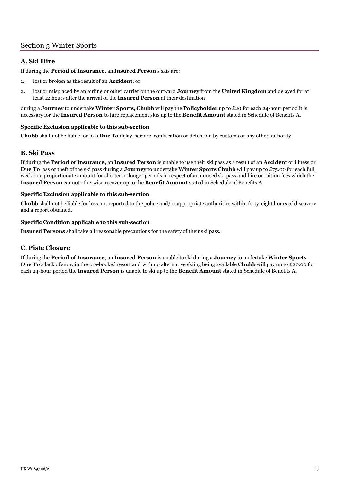# Section 5 Winter Sports

## <span id="page-24-0"></span>**A. Ski Hire**

If during the **Period of Insurance**, an **Insured Person**'s skis are:

- 1. lost or broken as the result of an **Accident**; or
- 2. lost or misplaced by an airline or other carrier on the outward **Journey** from the **United Kingdom** and delayed for at least 12 hours after the arrival of the **Insured Person** at their destination

during a **Journey** to undertake **Winter Sports**, **Chubb** will pay the **Policyholder** up to £20 for each 24-hour period it is necessary for the **Insured Person** to hire replacement skis up to the **Benefit Amount** stated in Schedule of Benefits A.

#### **Specific Exclusion applicable to this sub-section**

**Chubb** shall not be liable for loss **Due To** delay, seizure, confiscation or detention by customs or any other authority.

## <span id="page-24-1"></span>**B. Ski Pass**

If during the **Period of Insurance**, an **Insured Person** is unable to use their ski pass as a result of an **Accident** or illness or **Due To** loss or theft of the ski pass during a **Journey** to undertake **Winter Sports Chubb** will pay up to £75.00 for each full week or a proportionate amount for shorter or longer periods in respect of an unused ski pass and hire or tuition fees which the **Insured Person** cannot otherwise recover up to the **Benefit Amount** stated in Schedule of Benefits A.

#### **Specific Exclusion applicable to this sub-section**

**Chubb** shall not be liable for loss not reported to the police and/or appropriate authorities within forty-eight hours of discovery and a report obtained.

#### **Specific Condition applicable to this sub-section**

**Insured Persons** shall take all reasonable precautions for the safety of their ski pass.

## <span id="page-24-2"></span>**C. Piste Closure**

If during the **Period of Insurance**, an **Insured Person** is unable to ski during a **Journey** to undertake **Winter Sports Due To** a lack of snow in the pre-booked resort and with no alternative skiing being available **Chubb** will pay up to £20.00 for each 24-hour period the **Insured Person** is unable to ski up to the **Benefit Amount** stated in Schedule of Benefits A.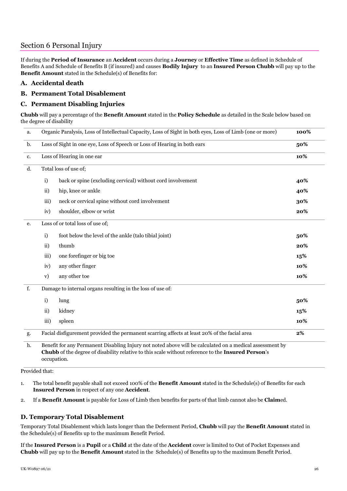# <span id="page-25-0"></span>Section 6 Personal Injury

If during the **Period of Insurance** an **Accident** occurs during a **Journey** or **Effective Time** as defined in Schedule of Benefits A and Schedule of Benefits B (if insured) and causes **Bodily Injury** to an **Insured Person Chubb** will pay up to the **Benefit Amount** stated in the Schedule(s) of Benefits for:

## <span id="page-25-1"></span>**A. Accidental death**

## <span id="page-25-2"></span>**B. Permanent Total Disablement**

## <span id="page-25-3"></span>**C. Permanent Disabling Injuries**

**Chubb** will pay a percentage of the **Benefit Amount** stated in the **Policy Schedule** as detailed in the Scale below based on the degree of disability

| a. |                                   | Organic Paralysis, Loss of Intellectual Capacity, Loss of Sight in both eyes, Loss of Limb (one or more)                                                                                                       | 100%  |
|----|-----------------------------------|----------------------------------------------------------------------------------------------------------------------------------------------------------------------------------------------------------------|-------|
| b. |                                   | Loss of Sight in one eye, Loss of Speech or Loss of Hearing in both ears                                                                                                                                       | 50%   |
| c. | Loss of Hearing in one ear<br>10% |                                                                                                                                                                                                                |       |
| d. |                                   | Total loss of use of;                                                                                                                                                                                          |       |
|    | i)                                | back or spine (excluding cervical) without cord involvement                                                                                                                                                    | 40%   |
|    | $\mathbf{ii}$                     | hip, knee or ankle                                                                                                                                                                                             | 40%   |
|    | iii)                              | neck or cervical spine without cord involvement                                                                                                                                                                | 30%   |
|    | iv)                               | shoulder, elbow or wrist                                                                                                                                                                                       | 20%   |
| е. |                                   | Loss of or total loss of use of;                                                                                                                                                                               |       |
|    | i)                                | foot below the level of the ankle (talo tibial joint)                                                                                                                                                          | 50%   |
|    | $\mathbf{ii}$                     | thumb                                                                                                                                                                                                          | 20%   |
|    | iii)                              | one forefinger or big toe                                                                                                                                                                                      | 15%   |
|    | iv)                               | any other finger                                                                                                                                                                                               | 10%   |
|    | V)                                | any other toe                                                                                                                                                                                                  | 10%   |
| f. |                                   | Damage to internal organs resulting in the loss of use of:                                                                                                                                                     |       |
|    | i)                                | lung                                                                                                                                                                                                           | 50%   |
|    | ii)                               | kidney                                                                                                                                                                                                         | 15%   |
|    | iii)                              | spleen                                                                                                                                                                                                         | 10%   |
| g. |                                   | Facial disfigurement provided the permanent scarring affects at least 20% of the facial area                                                                                                                   | $2\%$ |
| h. |                                   | Benefit for any Permanent Disabling Injury not noted above will be calculated on a medical assessment by<br>Chubb of the degree of disability relative to this scale without reference to the Insured Person's |       |

occupation.

Provided that:

1. The total benefit payable shall not exceed 100% of the **Benefit Amount** stated in the Schedule(s) of Benefits for each **Insured Person** in respect of any one **Accident**.

<span id="page-25-4"></span>2. If a **Benefit Amount** is payable for Loss of Limb then benefits for parts of that limb cannot also be **Claim**ed.

# **D. Temporary Total Disablement**

Temporary Total Disablement which lasts longer than the Deferment Period, **Chubb** will pay the **Benefit Amount** stated in the Schedule(s) of Benefits up to the maximum Benefit Period.

If the **Insured Person** is a **Pupil** or a **Child** at the date of the **Accident** cover is limited to Out of Pocket Expenses and **Chubb** will pay up to the **Benefit Amount** stated in the Schedule(s) of Benefits up to the maximum Benefit Period.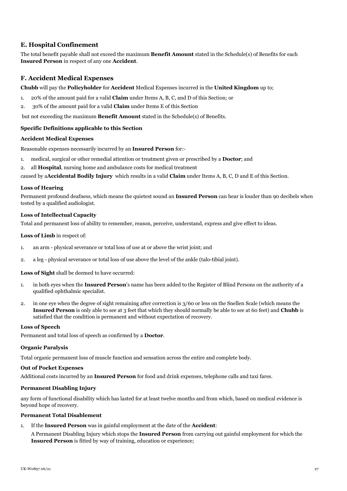## <span id="page-26-0"></span>**E. Hospital Confinement**

The total benefit payable shall not exceed the maximum **Benefit Amount** stated in the Schedule(s) of Benefits for each **Insured Person** in respect of any one **Accident**.

## <span id="page-26-1"></span>**F. Accident Medical Expenses**

**Chubb** will pay the **Policyholder** for **Accident** Medical Expenses incurred in the **United Kingdom** up to;

- 1. 20% of the amount paid for a valid **Claim** under Items A, B, C, and D of this Section; or
- 2. 30% of the amount paid for a valid **Claim** under Items E of this Section

but not exceeding the maximum **Benefit Amount** stated in the Schedule(s) of Benefits.

#### **Specific Definitions applicable to this Section**

#### **Accident Medical Expenses**

Reasonable expenses necessarily incurred by an **Insured Person** for:-

- 1. medical, surgical or other remedial attention or treatment given or prescribed by a **Doctor**; and
- 2. all **Hospital**, nursing home and ambulance costs for medical treatment

caused by a**Accidental Bodily Injury** which results in a valid **Claim** under Items A, B, C, D and E of this Section.

#### **Loss of Hearing**

Permanent profound deafness, which means the quietest sound an **Insured Person** can hear is louder than 90 decibels when tested by a qualified audiologist.

#### **Loss of Intellectual Capacity**

Total and permanent loss of ability to remember, reason, perceive, understand, express and give effect to ideas.

#### **Loss of Limb** in respect of:

- 1. an arm physical severance or total loss of use at or above the wrist joint; and
- 2. a leg physical severance or total loss of use above the level of the ankle (talo-tibial joint).

**Loss of Sight** shall be deemed to have occurred:

- 1. in both eyes when the **Insured Person**'s name has been added to the Register of Blind Persons on the authority of a qualified ophthalmic specialist.
- 2. in one eye when the degree of sight remaining after correction is 3/60 or less on the Snellen Scale (which means the **Insured Person** is only able to see at 3 feet that which they should normally be able to see at 60 feet) and **Chubb** is satisfied that the condition is permanent and without expectation of recovery.

#### **Loss of Speech**

Permanent and total loss of speech as confirmed by a **Doctor**.

#### **Organic Paralysis**

Total organic permanent loss of muscle function and sensation across the entire and complete body.

#### **Out of Pocket Expenses**

Additional costs incurred by an **Insured Person** for food and drink expenses, telephone calls and taxi fares.

#### **Permanent Disabling Injury**

any form of functional disability which has lasted for at least twelve months and from which, based on medical evidence is beyond hope of recovery.

#### **Permanent Total Disablement**

1. If the **Insured Person** was in gainful employment at the date of the **Accident**:

A Permanent Disabling Injury which stops the **Insured Person** from carrying out gainful employment for which the **Insured Person** is fitted by way of training, education or experience;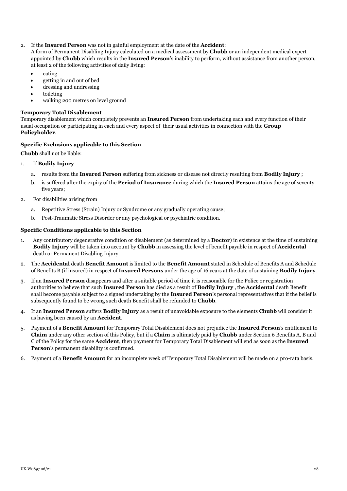2. If the **Insured Person** was not in gainful employment at the date of the **Accident**:

A form of Permanent Disabling Injury calculated on a medical assessment by **Chubb** or an independent medical expert appointed by **Chubb** which results in the **Insured Person**'s inability to perform, without assistance from another person, at least 2 of the following activities of daily living:

- eating
- getting in and out of bed
- dressing and undressing
- toileting
- walking 200 metres on level ground

#### **Temporary Total Disablement**

Temporary disablement which completely prevents an **Insured Person** from undertaking each and every function of their usual occupation or participating in each and every aspect of their usual activities in connection with the **Group Policyholder**.

#### **Specific Exclusions applicable to this Section**

**Chubb** shall not be liable:

## 1. If **Bodily Injury**

- a. results from the **Insured Person** suffering from sickness or disease not directly resulting from **Bodily Injury** ;
- b. is suffered after the expiry of the **Period of Insurance** during which the **Insured Person** attains the age of seventy five years;
- 2. For disabilities arising from
	- a. Repetitive Stress (Strain) Injury or Syndrome or any gradually operating cause;
	- b. Post-Traumatic Stress Disorder or any psychological or psychiatric condition.

#### **Specific Conditions applicable to this Section**

- 1. Any contributory degenerative condition or disablement (as determined by a **Doctor**) in existence at the time of sustaining **Bodily Injury** will be taken into account by **Chubb** in assessing the level of benefit payable in respect of **Accidental** death or Permanent Disabling Injury.
- 2. The **Accidental** death **Benefit Amount** is limited to the **Benefit Amount** stated in Schedule of Benefits A and Schedule of Benefits B (if insured) in respect of **Insured Persons** under the age of 16 years at the date of sustaining **Bodily Injury**.
- 3. If an **Insured Person** disappears and after a suitable period of time it is reasonable for the Police or registration authorities to believe that such **Insured Person** has died as a result of **Bodily Injury** , the **Accidental** death Benefit shall become payable subject to a signed undertaking by the **Insured Person**'s personal representatives that if the belief is subsequently found to be wrong such death Benefit shall be refunded to **Chubb**.
- 4. If an **Insured Person** suffers **Bodily Injury** as a result of unavoidable exposure to the elements **Chubb** will consider it as having been caused by an **Accident**.
- 5. Payment of a **Benefit Amount** for Temporary Total Disablement does not prejudice the **Insured Person**'s entitlement to **Claim** under any other section of this Policy, but if a **Claim** is ultimately paid by **Chubb** under Section 6 Benefits A, B and C of the Policy for the same **Accident**, then payment for Temporary Total Disablement will end as soon as the **Insured Person**'s permanent disability is confirmed.
- 6. Payment of a **Benefit Amount** for an incomplete week of Temporary Total Disablement will be made on a pro-rata basis.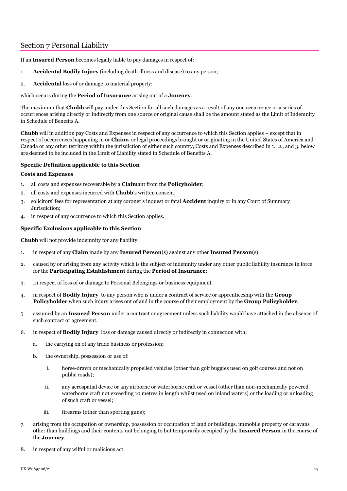# <span id="page-28-0"></span>Section 7 Personal Liability

If an **Insured Person** becomes legally liable to pay damages in respect of:

- 1. **Accidental Bodily Injury** (including death illness and disease) to any person;
- 2. **Accidental** loss of or damage to material property;

which occurs during the **Period of Insurance** arising out of a **Journey**.

The maximum that **Chubb** will pay under this Section for all such damages as a result of any one occurrence or a series of occurrences arising directly or indirectly from one source or original cause shall be the amount stated as the Limit of Indemnity in Schedule of Benefits A.

**Chubb** will in addition pay Costs and Expenses in respect of any occurrence to which this Section applies – except that in respect of occurrences happening in or **Claim**s or legal proceedings brought or originating in the United States of America and Canada or any other territory within the jurisdiction of either such country, Costs and Expenses described in 1., 2., and 3. below are deemed to be included in the Limit of Liability stated in Schedule of Benefits A.

#### **Specific Definition applicable to this Section**

#### **Costs and Expenses**

- 1. all costs and expenses recoverable by a **Claim**ant from the **Policyholder**;
- 2. all costs and expenses incurred with **Chubb**'s written consent;
- 3. solicitors' fees for representation at any coroner's inquest or fatal **Accident** inquiry or in any Court of Summary Jurisdiction;
- 4. in respect of any occurrence to which this Section applies.

#### **Specific Exclusions applicable to this Section**

**Chubb** will not provide indemnity for any liability:

- 1. in respect of any **Claim** made by any **Insured Person**(s) against any other **Insured Person**(s);
- 2. caused by or arising from any activity which is the subject of indemnity under any other public liability insurance in force for the **Participating Establishment** during the **Period of Insurance**;
- 3. In respect of loss of or damage to Personal Belongings or business equipment.
- 4. in respect of **Bodily Injury** to any person who is under a contract of service or apprenticeship with the **Group Policyholder** when such injury arises out of and in the course of their employment by the **Group Policyholder**.
- 5. assumed by an **Insured Person** under a contract or agreement unless such liability would have attached in the absence of such contract or agreement.
- 6. in respect of **Bodily Injury** loss or damage caused directly or indirectly in connection with:
	- a. the carrying on of any trade business or profession;
	- b. the ownership, possession or use of:
		- i. horse-drawn or mechanically propelled vehicles (other than golf buggies used on golf courses and not on public roads);
		- ii. any aerospatial device or any airborne or waterborne craft or vessel (other than non-mechanically powered waterborne craft not exceeding 10 metres in length whilst used on inland waters) or the loading or unloading of such craft or vessel;
		- iii. firearms (other than sporting guns);
- 7. arising from the occupation or ownership, possession or occupation of land or buildings, immobile property or caravans other than buildings and their contents not belonging to but temporarily occupied by the **Insured Person** in the course of the **Journey**.
- 8. in respect of any wilful or malicious act.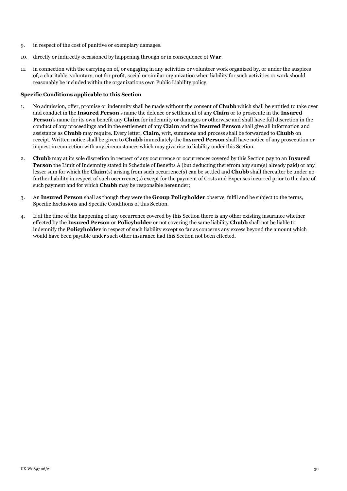- 9. in respect of the cost of punitive or exemplary damages.
- 10. directly or indirectly occasioned by happening through or in consequence of **War**.
- 11. in connection with the carrying on of, or engaging in any activities or volunteer work organized by, or under the auspices of, a charitable, voluntary, not for profit, social or similar organization when liability for such activities or work should reasonably be included within the organizations own Public Liability policy.

#### **Specific Conditions applicable to this Section**

- 1. No admission, offer, promise or indemnity shall be made without the consent of **Chubb** which shall be entitled to take over and conduct in the **Insured Person**'s name the defence or settlement of any **Claim** or to prosecute in the **Insured Person**'s name for its own benefit any **Claim** for indemnity or damages or otherwise and shall have full discretion in the conduct of any proceedings and in the settlement of any **Claim** and the **Insured Person** shall give all information and assistance as **Chubb** may require. Every letter, **Claim**, writ, summons and process shall be forwarded to **Chubb** on receipt. Written notice shall be given to **Chubb** immediately the **Insured Person** shall have notice of any prosecution or inquest in connection with any circumstances which may give rise to liability under this Section.
- 2. **Chubb** may at its sole discretion in respect of any occurrence or occurrences covered by this Section pay to an **Insured Person** the Limit of Indemnity stated in Schedule of Benefits A (but deducting therefrom any sum(s) already paid) or any lesser sum for which the **Claim**(s) arising from such occurrence(s) can be settled and **Chubb** shall thereafter be under no further liability in respect of such occurrence(s) except for the payment of Costs and Expenses incurred prior to the date of such payment and for which **Chubb** may be responsible hereunder;
- 3. An **Insured Person** shall as though they were the **Group Policyholder** observe, fulfil and be subject to the terms, Specific Exclusions and Specific Conditions of this Section.
- 4. If at the time of the happening of any occurrence covered by this Section there is any other existing insurance whether effected by the **Insured Person** or **Policyholder** or not covering the same liability **Chubb** shall not be liable to indemnify the **Policyholder** in respect of such liability except so far as concerns any excess beyond the amount which would have been payable under such other insurance had this Section not been effected.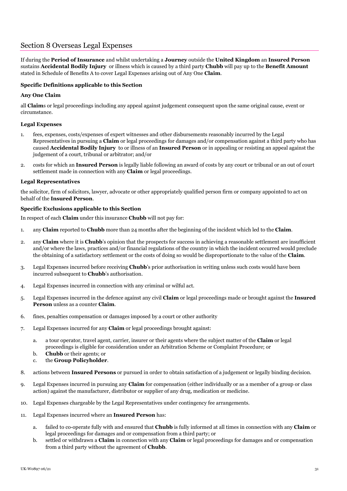# <span id="page-30-0"></span>Section 8 Overseas Legal Expenses

If during the **Period of Insurance** and whilst undertaking a **Journey** outside the **United Kingdom** an **Insured Person** sustains **Accidental Bodily Injury** or illness which is caused by a third party **Chubb** will pay up to the **Benefit Amount** stated in Schedule of Benefits A to cover Legal Expenses arising out of Any One **Claim**.

#### **Specific Definitions applicable to this Section**

#### **Any One Claim**

all **Claim**s or legal proceedings including any appeal against judgement consequent upon the same original cause, event or circumstance.

#### **Legal Expenses**

- 1. fees, expenses, costs/expenses of expert witnesses and other disbursements reasonably incurred by the Legal Representatives in pursuing a **Claim** or legal proceedings for damages and/or compensation against a third party who has caused **Accidental Bodily Injury** to or illness of an **Insured Person** or in appealing or resisting an appeal against the judgement of a court, tribunal or arbitrator; and/or
- 2. costs for which an **Insured Person** is legally liable following an award of costs by any court or tribunal or an out of court settlement made in connection with any **Claim** or legal proceedings.

#### **Legal Representatives**

the solicitor, firm of solicitors, lawyer, advocate or other appropriately qualified person firm or company appointed to act on behalf of the **Insured Person**.

#### **Specific Exclusions applicable to this Section**

In respect of each **Claim** under this insurance **Chubb** will not pay for:

- 1. any **Claim** reported to **Chubb** more than 24 months after the beginning of the incident which led to the **Claim**.
- 2. any **Claim** where it is **Chubb**'s opinion that the prospects for success in achieving a reasonable settlement are insufficient and/or where the laws, practices and/or financial regulations of the country in which the incident occurred would preclude the obtaining of a satisfactory settlement or the costs of doing so would be disproportionate to the value of the **Claim**.
- 3. Legal Expenses incurred before receiving **Chubb**'s prior authorisation in writing unless such costs would have been incurred subsequent to **Chubb**'s authorisation.
- 4. Legal Expenses incurred in connection with any criminal or wilful act.
- 5. Legal Expenses incurred in the defence against any civil **Claim** or legal proceedings made or brought against the **Insured Person** unless as a counter **Claim**.
- 6. fines, penalties compensation or damages imposed by a court or other authority
- 7. Legal Expenses incurred for any **Claim** or legal proceedings brought against:
	- a. a tour operator, travel agent, carrier, insurer or their agents where the subject matter of the **Claim** or legal proceedings is eligible for consideration under an Arbitration Scheme or Complaint Procedure; or
	- b. **Chubb** or their agents; or
	- c. the **Group Policyholder**.
- 8. actions between **Insured Persons** or pursued in order to obtain satisfaction of a judgement or legally binding decision.
- 9. Legal Expenses incurred in pursuing any **Claim** for compensation (either individually or as a member of a group or class action) against the manufacturer, distributor or supplier of any drug, medication or medicine.
- 10. Legal Expenses chargeable by the Legal Representatives under contingency fee arrangements.
- 11. Legal Expenses incurred where an **Insured Person** has:
	- a. failed to co-operate fully with and ensured that **Chubb** is fully informed at all times in connection with any **Claim** or legal proceedings for damages and or compensation from a third party; or
	- b. settled or withdrawn a **Claim** in connection with any **Claim** or legal proceedings for damages and or compensation from a third party without the agreement of **Chubb**.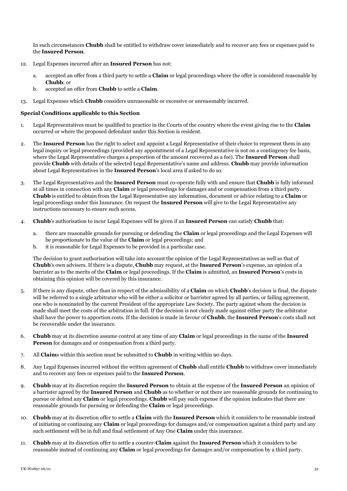In such circumstances **Chubb** shall be entitled to withdraw cover immediately and to recover any fees or expenses paid to the **Insured Person**.

- 12. Legal Expenses incurred after an **Insured Person** has not:
	- a. accepted an offer from a third party to settle a **Claim** or legal proceedings where the offer is considered reasonable by **Chubb**; or
	- b. accepted an offer from **Chubb** to settle a **Claim**.
- 13. Legal Expenses which **Chubb** considers unreasonable or excessive or unreasonably incurred.

#### **Special Conditions applicable to this Section**

- 1. Legal Representatives must be qualified to practice in the Courts of the country where the event giving rise to the **Claim** occurred or where the proposed defendant under this Section is resident.
- 2. The **Insured Person** has the right to select and appoint a Legal Representative of their choice to represent them in any legal inquiry or legal proceedings (provided any appointment of a Legal Representative is not on a contingency fee basis, where the Legal Representative charges a proportion of the amount recovered as a fee). The **Insured Person** shall provide **Chubb** with details of the selected Legal Representative's name and address. **Chubb** may provide information about Legal Representatives in the **Insured Person**'s local area if asked to do so.
- 3. The Legal Representatives and the **Insured Person** must co-operate fully with and ensure that **Chubb** is fully informed at all times in connection with any **Claim** or legal proceedings for damages and or compensation from a third party. **Chubb** is entitled to obtain from the Legal Representative any information, document or advice relating to a **Claim** or legal proceedings under this Insurance. On request the **Insured Person** will give to the Legal Representative any instructions necessary to ensure such access.
- 4. **Chubb**'s authorisation to incur Legal Expenses will be given if an **Insured Person** can satisfy **Chubb** that:
	- a. there are reasonable grounds for pursuing or defending the **Claim** or legal proceedings and the Legal Expenses will be proportionate to the value of the **Claim** or legal proceedings; and
	- b. it is reasonable for Legal Expenses to be provided in a particular case.

The decision to grant authorisation will take into account the opinion of the Legal Representatives as well as that of **Chubb**'s own advisers. If there is a dispute, **Chubb** may request, at the **Insured Person**'s expense, an opinion of a barrister as to the merits of the **Claim** or legal proceedings. If the **Claim** is admitted, an **Insured Person**'s costs in obtaining this opinion will be covered by this insurance.

- 5. If there is any dispute, other than in respect of the admissibility of a **Claim** on which **Chubb**'s decision is final, the dispute will be referred to a single arbitrator who will be either a solicitor or barrister agreed by all parties, or failing agreement, one who is nominated by the current President of the appropriate Law Society. The party against whom the decision is made shall meet the costs of the arbitration in full. If the decision is not clearly made against either party the arbitrator shall have the power to apportion costs. If the decision is made in favour of **Chubb**, the **Insured Person**'s costs shall not be recoverable under the insurance.
- 6. **Chubb** may at its discretion assume control at any time of any **Claim** or legal proceedings in the name of the **Insured Person** for damages and or compensation from a third party.
- 7. All **Claim**s within this section must be submitted to **Chubb** in writing within 90 days.
- 8. Any Legal Expenses incurred without the written agreement of **Chubb** shall entitle **Chubb** to withdraw cover immediately and to recover any fees or expenses paid to the **Insured Person**.
- 9. **Chubb** may at its discretion require the **Insured Person** to obtain at the expense of the **Insured Person** an opinion of a barrister agreed by the **Insured Person** and **Chubb** as to whether or not there are reasonable grounds for continuing to pursue or defend any **Claim** or legal proceedings. **Chubb** will pay such expense if the opinion indicates that there are reasonable grounds for pursuing or defending the **Claim** or legal proceedings.
- 10. **Chubb** may at its discretion offer to settle a **Claim** with the **Insured Person** which it considers to be reasonable instead of initiating or continuing any **Claim** or legal proceedings for damages and/or compensation against a third party and any such settlement will be in full and final settlement of Any One **Claim** under this insurance.
- 11. **Chubb** may at its discretion offer to settle a counter-**Claim** against the **Insured Person** which it considers to be reasonable instead of continuing any **Claim** or legal proceedings for damages and/or compensation by a third party.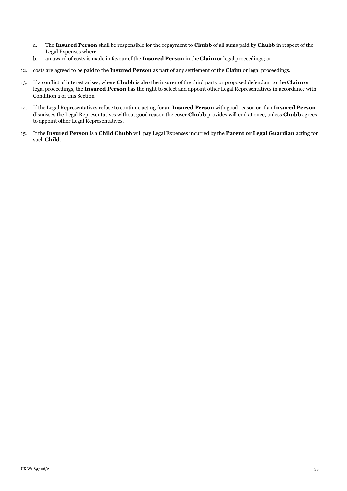- a. The **Insured Person** shall be responsible for the repayment to **Chubb** of all sums paid by **Chubb** in respect of the Legal Expenses where:
- b. an award of costs is made in favour of the **Insured Person** in the **Claim** or legal proceedings; or
- 12. costs are agreed to be paid to the **Insured Person** as part of any settlement of the **Claim** or legal proceedings.
- 13. If a conflict of interest arises, where **Chubb** is also the insurer of the third party or proposed defendant to the **Claim** or legal proceedings, the **Insured Person** has the right to select and appoint other Legal Representatives in accordance with Condition 2 of this Section
- 14. If the Legal Representatives refuse to continue acting for an **Insured Person** with good reason or if an **Insured Person** dismisses the Legal Representatives without good reason the cover **Chubb** provides will end at once, unless **Chubb** agrees to appoint other Legal Representatives.
- <span id="page-32-0"></span>15. If the **Insured Person** is a **Child Chubb** will pay Legal Expenses incurred by the **Parent or Legal Guardian** acting for such **Child**.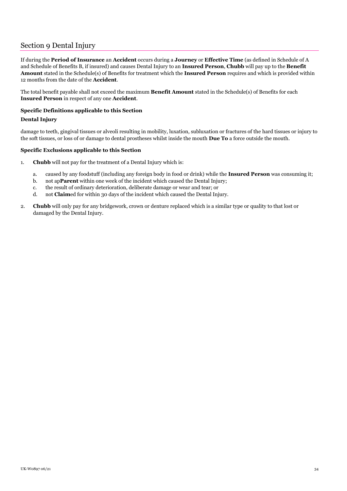# Section 9 Dental Injury

If during the **Period of Insurance** an **Accident** occurs during a **Journey** or **Effective Time** (as defined in Schedule of A and Schedule of Benefits B, if insured) and causes Dental Injury to an **Insured Person**, **Chubb** will pay up to the **Benefit Amount** stated in the Schedule(s) of Benefits for treatment which the **Insured Person** requires and which is provided within 12 months from the date of the **Accident**.

The total benefit payable shall not exceed the maximum **Benefit Amount** stated in the Schedule(s) of Benefits for each **Insured Person** in respect of any one **Accident**.

#### **Specific Definitions applicable to this Section**

#### **Dental Injury**

damage to teeth, gingival tissues or alveoli resulting in mobility, luxation, subluxation or fractures of the hard tissues or injury to the soft tissues, or loss of or damage to dental prostheses whilst inside the mouth **Due To** a force outside the mouth.

#### **Specific Exclusions applicable to this Section**

- 1. **Chubb** will not pay for the treatment of a Dental Injury which is:
	- a. caused by any foodstuff (including any foreign body in food or drink) while the **Insured Person** was consuming it;
	- b. not ap**Parent** within one week of the incident which caused the Dental Injury;
	- c. the result of ordinary deterioration, deliberate damage or wear and tear; or
	- d. not **Claim**ed for within 30 days of the incident which caused the Dental Injury.
- 2. **Chubb** will only pay for any bridgework, crown or denture replaced which is a similar type or quality to that lost or damaged by the Dental Injury.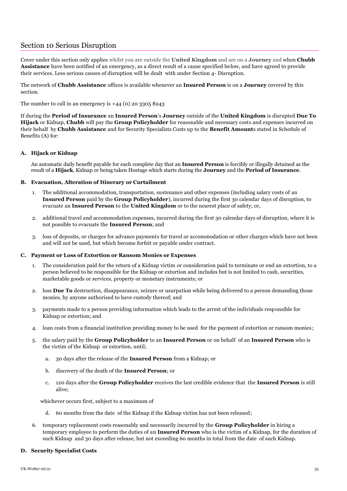# <span id="page-34-0"></span>Section 10 Serious Disruption

Cover under this section only applies whilst you are outside the **United Kingdom** and are on a **Journey** and when **Chubb Assistance** have been notified of an emergency, as a direct result of a cause specified below, and have agreed to provide their services. Less serious causes of disruption will be dealt with under Section 4- Disruption.

The network of **Chubb Assistance** offices is available whenever an **Insured Person** is on a **Journey** covered by this section.

The number to call in an emergency is  $+44$  (0) 20 3305 8243

If during the **Period of Insurance** an **Insured Person**'s **Journey** outside of the **United Kingdom** is disrupted **Due To Hijack** or Kidnap, **Chubb** will pay the **Group Policyholder** for reasonable and necessary costs and expenses incurred on their behalf by **Chubb Assistance** and for Security Specialists Costs up to the **Benefit Amount**s stated in Schedule of Benefits (A) for:

#### <span id="page-34-1"></span>**A. Hijack or Kidnap**

An automatic daily benefit payable for each complete day that an **Insured Person** is forcibly or illegally detained as the result of a **Hijack**, Kidnap or being taken Hostage which starts during the **Journey** and the **Period of Insurance**.

#### <span id="page-34-2"></span>**B. Evacuation, Alteration of Itinerary or Curtailment**

- 1. The additional accommodation, transportation, sustenance and other expenses (including salary costs of an **Insured Person** paid by the **Group Policyholder**), incurred during the first 30 calendar days of disruption, to evacuate an **Insured Person** to the **United Kingdom** or to the nearest place of safety; or,
- 2. additional travel and accommodation expenses, incurred during the first 30 calendar days of disruption, where it is not possible to evacuate the **Insured Person**; and
- 3. loss of deposits, or charges for advance payments for travel or accommodation or other charges which have not been and will not be used, but which become forfeit or payable under contract.

#### <span id="page-34-3"></span>**C. Payment or Loss of Extortion or Ransom Monies or Expenses**

- 1. The consideration paid for the return of a Kidnap victim or consideration paid to terminate or end an extortion, to a person believed to be responsible for the Kidnap or extortion and includes but is not limited to cash, securities, marketable goods or services, property or monetary instruments; or
- 2. loss **Due To** destruction, disappearance, seizure or usurpation while being delivered to a person demanding those monies, by anyone authorised to have custody thereof; and
- 3. payments made to a person providing information which leads to the arrest of the individuals responsible for Kidnap or extortion; and
- 4. loan costs from a financial institution providing money to be used for the payment of extortion or ransom monies ;
- 5. the salary paid by the **Group Policyholder** to an **Insured Person** or on behalf of an **Insured Person** who is the victim of the Kidnap or extortion, until;
	- a. 30 days after the release of the **Insured Person** from a Kidnap; or
	- b. discovery of the death of the **Insured Person**; or
	- c. 120 days after the **Group Policyholder** receives the last credible evidence that the **Insured Person** is still alive;

whichever occurs first, subject to a maximum of

- d. 60 months from the date of the Kidnap if the Kidnap victim has not been released;
- 6. temporary replacement costs reasonably and necessarily incurred by the **Group Policyholder** in hiring a temporary employee to perform the duties of an **Insured Person** who is the victim of a Kidnap, for the duration of such Kidnap and 30 days after release, but not exceeding 60 months in total from the date of such Kidnap.

#### <span id="page-34-4"></span>**D. Security Specialist Costs**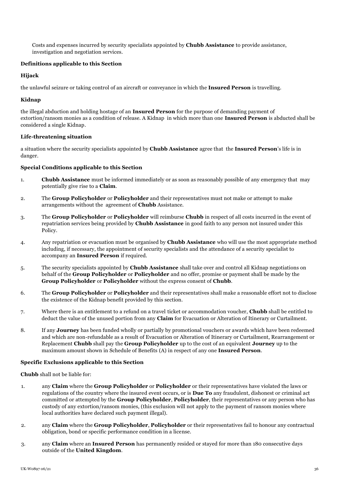Costs and expenses incurred by security specialists appointed by **Chubb Assistance** to provide assistance, investigation and negotiation services.

#### **Definitions applicable to this Section**

#### **Hijack**

the unlawful seizure or taking control of an aircraft or conveyance in which the **Insured Person** is travelling.

#### **Kidnap**

the illegal abduction and holding hostage of an **Insured Person** for the purpose of demanding payment of extortion/ransom monies as a condition of release. A Kidnap in which more than one **Insured Person** is abducted shall be considered a single Kidnap.

#### **Life-threatening situation**

a situation where the security specialists appointed by **Chubb Assistance** agree that the **Insured Person**'s life is in danger.

#### **Special Conditions applicable to this Section**

- 1. **Chubb Assistance** must be informed immediately or as soon as reasonably possible of any emergency that may potentially give rise to a **Claim**.
- 2. The **Group Policyholder** or **Policyholder** and their representatives must not make or attempt to make arrangements without the agreement of **Chubb** Assistance.
- 3. The **Group Policyholder** or **Policyholder** will reimburse **Chubb** in respect of all costs incurred in the event of repatriation services being provided by **Chubb Assistance** in good faith to any person not insured under this Policy.
- 4. Any repatriation or evacuation must be organised by **Chubb Assistance** who will use the most appropriate method including, if necessary, the appointment of security specialists and the attendance of a security specialist to accompany an **Insured Person** if required.
- 5. The security specialists appointed by **Chubb Assistance** shall take over and control all Kidnap negotiations on behalf of the **Group Policyholder** or **Policyholder** and no offer, promise or payment shall be made by the **Group Policyholder** or **Policyholder** without the express consent of **Chubb**.
- 6. The **Group Policyholder** or **Policyholder** and their representatives shall make a reasonable effort not to disclose the existence of the Kidnap benefit provided by this section.
- 7. Where there is an entitlement to a refund on a travel ticket or accommodation voucher, **Chubb** shall be entitled to deduct the value of the unused portion from any **Claim** for Evacuation or Alteration of Itinerary or Curtailment.
- 8. If any **Journey** has been funded wholly or partially by promotional vouchers or awards which have been redeemed and which are non-refundable as a result of Evacuation or Alteration of Itinerary or Curtailment, Rearrangement or Replacement **Chubb** shall pay the **Group Policyholder** up to the cost of an equivalent **Journey** up to the maximum amount shown in Schedule of Benefits (A) in respect of any one **Insured Person**.

## **Specific Exclusions applicable to this Section**

**Chubb** shall not be liable for:

- 1. any **Claim** where the **Group Policyholder** or **Policyholder** or their representatives have violated the laws or regulations of the country where the insured event occurs, or is **Due To** any fraudulent, dishonest or criminal act committed or attempted by the **Group Policyholder**, **Policyholder**, their representatives or any person who has custody of any extortion/ransom monies, (this exclusion will not apply to the payment of ransom monies where local authorities have declared such payment illegal).
- 2. any **Claim** where the **Group Policyholder**, **Policyholder** or their representatives fail to honour any contractual obligation, bond or specific performance condition in a license.
- 3. any **Claim** where an **Insured Person** has permanently resided or stayed for more than 180 consecutive days outside of the **United Kingdom**.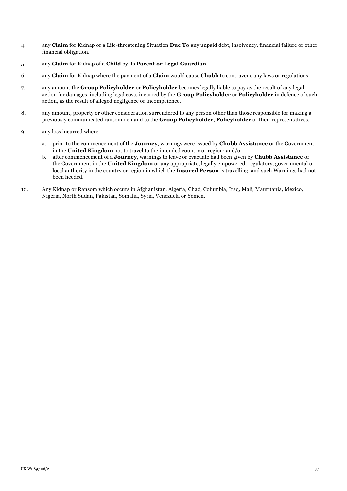- 4. any **Claim** for Kidnap or a Life-threatening Situation **Due To** any unpaid debt, insolvency, financial failure or other financial obligation.
- 5. any **Claim** for Kidnap of a **Child** by its **Parent or Legal Guardian**.
- 6. any **Claim** for Kidnap where the payment of a **Claim** would cause **Chubb** to contravene any laws or regulations.
- 7. any amount the **Group Policyholder** or **Policyholder** becomes legally liable to pay as the result of any legal action for damages, including legal costs incurred by the **Group Policyholder** or **Policyholder** in defence of such action, as the result of alleged negligence or incompetence.
- 8. any amount, property or other consideration surrendered to any person other than those responsible for making a previously communicated ransom demand to the **Group Policyholder**, **Policyholder** or their representatives.
- 9. any loss incurred where:
	- a. prior to the commencement of the **Journey**, warnings were issued by **Chubb Assistance** or the Government in the **United Kingdom** not to travel to the intended country or region; and/or
	- b. after commencement of a **Journey**, warnings to leave or evacuate had been given by **Chubb Assistance** or the Government in the **United Kingdom** or any appropriate, legally empowered, regulatory, governmental or local authority in the country or region in which the **Insured Person** is travelling, and such Warnings had not been heeded.
- 10. Any Kidnap or Ransom which occurs in Afghanistan, Algeria, Chad, Columbia, Iraq, Mali, Mauritania, Mexico, Nigeria, North Sudan, Pakistan, Somalia, Syria, Venezuela or Yemen.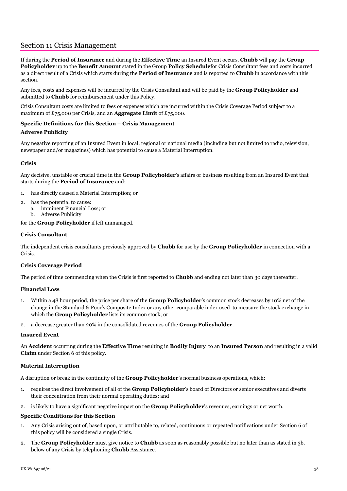# <span id="page-37-0"></span>Section 11 Crisis Management

If during the **Period of Insurance** and during the **Effective Time** an Insured Event occurs, **Chubb** will pay the **Group Policyholder** up to the **Benefit Amount** stated in the Group **Policy Schedule**for Crisis Consultant fees and costs incurred as a direct result of a Crisis which starts during the **Period of Insurance** and is reported to **Chubb** in accordance with this section.

Any fees, costs and expenses will be incurred by the Crisis Consultant and will be paid by the **Group Policyholder** and submitted to **Chubb** for reimbursement under this Policy.

Crisis Consultant costs are limited to fees or expenses which are incurred within the Crisis Coverage Period subject to a maximum of £75,000 per Crisis, and an **Aggregate Limit** of £75,000.

#### **Specific Definitions for this Section – Crisis Management**

#### **Adverse Publicity**

Any negative reporting of an Insured Event in local, regional or national media (including but not limited to radio, television, newspaper and/or magazines) which has potential to cause a Material Interruption.

#### **Crisis**

Any decisive, unstable or crucial time in the **Group Policyholder**'s affairs or business resulting from an Insured Event that starts during the **Period of Insurance** and:

- 1. has directly caused a Material Interruption; or
- 2. has the potential to cause:
	- a. imminent Financial Loss; or
	- b. Adverse Publicity

for the **Group Policyholder** if left unmanaged.

#### **Crisis Consultant**

The independent crisis consultants previously approved by **Chubb** for use by the **Group Policyholder** in connection with a Crisis.

#### **Crisis Coverage Period**

The period of time commencing when the Crisis is first reported to **Chubb** and ending not later than 30 days thereafter.

#### **Financial Loss**

- 1. Within a 48 hour period, the price per share of the **Group Policyholder**'s common stock decreases by 10% net of the change in the Standard & Poor's Composite Index or any other comparable index used to measure the stock exchange in which the **Group Policyholder** lists its common stock; or
- 2. a decrease greater than 20% in the consolidated revenues of the **Group Policyholder**.

#### **Insured Event**

An **Accident** occurring during the **Effective Time** resulting in **Bodily Injury** to an **Insured Person** and resulting in a valid **Claim** under Section 6 of this policy.

#### **Material Interruption**

A disruption or break in the continuity of the **Group Policyholder**'s normal business operations, which:

- 1. requires the direct involvement of all of the **Group Policyholder**'s board of Directors or senior executives and diverts their concentration from their normal operating duties; and
- 2. is likely to have a significant negative impact on the **Group Policyholder**'s revenues, earnings or net worth.

#### **Specific Conditions for this Section**

- 1. Any Crisis arising out of, based upon, or attributable to, related, continuous or repeated notifications under Section 6 of this policy will be considered a single Crisis.
- 2. The **Group Policyholder** must give notice to **Chubb** as soon as reasonably possible but no later than as stated in 3b. below of any Crisis by telephoning **Chubb** Assistance.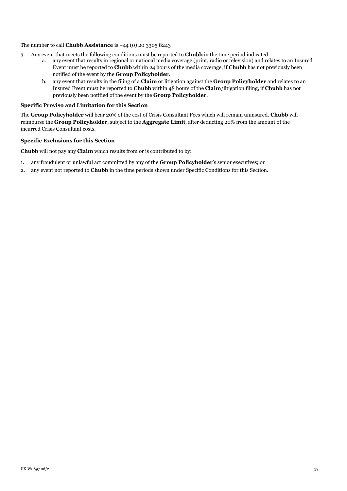### The number to call **Chubb Assistance** is +44 (0) 20 3305 8243

- 3. Any event that meets the following conditions must be reported to **Chubb** in the time period indicated:
	- a. any event that results in regional or national media coverage (print, radio or television) and relates to an Insured Event must be reported to **Chubb** within 24 hours of the media coverage, if **Chubb** has not previously been notified of the event by the **Group Policyholder**.
	- b. any event that results in the filing of a **Claim** or litigation against the **Group Policyholder** and relates to an Insured Event must be reported to **Chubb** within 48 hours of the **Claim**/litigation filing, if **Chubb** has not previously been notified of the event by the **Group Policyholder**.

#### **Specific Proviso and Limitation for this Section**

The **Group Policyholder** will bear 20% of the cost of Crisis Consultant Fees which will remain uninsured. **Chubb** will reimburse the **Group Policyholder**, subject to the **Aggregate Limit**, after deducting 20% from the amount of the incurred Crisis Consultant costs.

#### **Specific Exclusions for this Section**

**Chubb** will not pay any **Claim** which results from or is contributed to by:

- 1. any fraudulent or unlawful act committed by any of the **Group Policyholder**'s senior executives; or
- 2. any event not reported to **Chubb** in the time periods shown under Specific Conditions for this Section.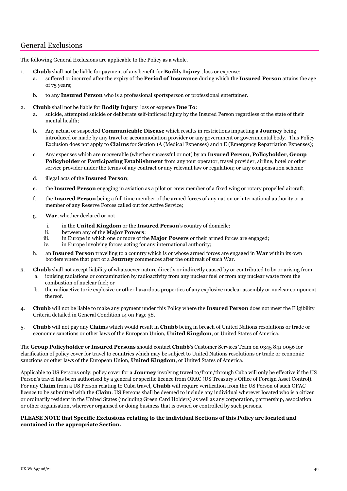# <span id="page-39-0"></span>General Exclusions

The following General Exclusions are applicable to the Policy as a whole.

- 1. **Chubb** shall not be liable for payment of any benefit for **Bodily Injury** , loss or expense:
	- a. suffered or incurred after the expiry of the **Period of Insurance** during which the **Insured Person** attains the age of 75 years;
	- b. to any **Insured Person** who is a professional sportsperson or professional entertainer.

#### 2. **Chubb** shall not be liable for **Bodily Injury** loss or expense **Due To**:

- a. suicide, attempted suicide or deliberate self-inflicted injury by the Insured Person regardless of the state of their mental health;
- b. Any actual or suspected **Communicable Disease** which results in restrictions impacting a **Journey** being introduced or made by any travel or accommodation provider or any government or governmental body. This Policy Exclusion does not apply to **Claims** for Section 1A (Medical Expenses) and 1 E (Emergency Repatriation Expenses);
- c. Any expenses which are recoverable (whether successful or not) by an **Insured Person**, **Policyholder**, **Group Policyholder** or **Participating Establishment** from any tour operator, travel provider, airline, hotel or other service provider under the terms of any contract or any relevant law or regulation; or any compensation scheme
- d. illegal acts of the **Insured Person**;
- e. the **Insured Person** engaging in aviation as a pilot or crew member of a fixed wing or rotary propelled aircraft;
- f. the **Insured Person** being a full time member of the armed forces of any nation or international authority or a member of any Reserve Forces called out for Active Service;
- g. **War**, whether declared or not,
	- i. in the **United Kingdom** or the **Insured Person**'s country of domicile;
	- ii. between any of the **Major Powers**;
	- in Europe in which one or more of the **Major Powers** or their armed forces are engaged;
	- iv. in Europe involving forces acting for any international authority;
- h. an **Insured Person** travelling to a country which is or whose armed forces are engaged in **War** within its own borders where that part of a **Journey** commences after the outbreak of such War.
- 3. **Chubb** shall not accept liability of whatsoever nature directly or indirectly caused by or contributed to by or arising from
	- a. ionising radiations or contamination by radioactivity from any nuclear fuel or from any nuclear waste from the combustion of nuclear fuel; or
	- b. the radioactive toxic explosive or other hazardous properties of any explosive nuclear assembly or nuclear component thereof.
- 4. **Chubb** will not be liable to make any payment under this Policy where the **Insured Person** does not meet the Eligibility Criteria detailed in General Condition 14 on Page 38.
- 5. **Chubb** will not pay any **Claim**s which would result in **Chubb** being in breach of United Nations resolutions or trade or economic sanctions or other laws of the European Union, **United Kingdom**, or United States of America.

The **Group Policyholder** or **Insured Persons** should contact **Chubb**'s Customer Services Team on 0345 841 0056 for clarification of policy cover for travel to countries which may be subject to United Nations resolutions or trade or economic sanctions or other laws of the European Union, **United Kingdom**, or United States of America.

Applicable to US Persons only: policy cover for a **Journey** involving travel to/from/through Cuba will only be effective if the US Person's travel has been authorised by a general or specific licence from OFAC (US Treasury's Office of Foreign Asset Control). For any **Claim** from a US Person relating to Cuba travel, **Chubb** will require verification from the US Person of such OFAC licence to be submitted with the **Claim**. US Persons shall be deemed to include any individual wherever located who is a citizen or ordinarily resident in the United States (including Green Card Holders) as well as any corporation, partnership, association, or other organisation, wherever organised or doing business that is owned or controlled by such persons.

#### <span id="page-39-1"></span>**PLEASE NOTE that Specific Exclusions relating to the individual Sections of this Policy are located and contained in the appropriate Section.**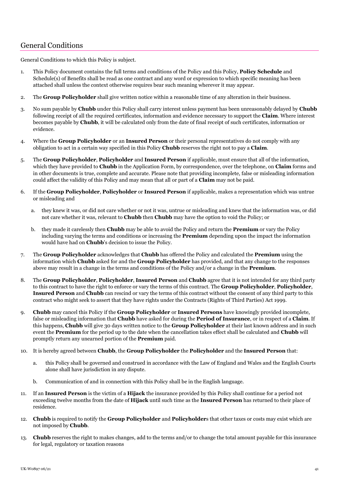# General Conditions

General Conditions to which this Policy is subject.

- 1. This Policy document contains the full terms and conditions of the Policy and this Policy, **Policy Schedule** and Schedule(s) of Benefits shall be read as one contract and any word or expression to which specific meaning has been attached shall unless the context otherwise requires bear such meaning wherever it may appear.
- 2. The **Group Policyholder** shall give written notice within a reasonable time of any alteration in their business.
- 3. No sum payable by **Chubb** under this Policy shall carry interest unless payment has been unreasonably delayed by **Chubb** following receipt of all the required certificates, information and evidence necessary to support the **Claim**. Where interest becomes payable by **Chubb**, it will be calculated only from the date of final receipt of such certificates, information or evidence.
- 4. Where the **Group Policyholder** or an **Insured Person** or their personal representatives do not comply with any obligation to act in a certain way specified in this Policy **Chubb** reserves the right not to pay a **Claim**.
- 5. The **Group Policyholder**, **Policyholder** and **Insured Person** if applicable, must ensure that all of the information, which they have provided to **Chubb** in the Application Form, by correspondence, over the telephone, on **Claim** forms and in other documents is true, complete and accurate. Please note that providing incomplete, false or misleading information could affect the validity of this Policy and may mean that all or part of a **Claim** may not be paid.
- 6. If the **Group Policyholder**, **Policyholder** or **Insured Person** if applicable, makes a representation which was untrue or misleading and
	- a. they knew it was, or did not care whether or not it was, untrue or misleading and knew that the information was, or did not care whether it was, relevant to **Chubb** then **Chubb** may have the option to void the Policy; or
	- b. they made it carelessly then **Chubb** may be able to avoid the Policy and return the **Premium** or vary the Policy including varying the terms and conditions or increasing the **Premium** depending upon the impact the information would have had on **Chubb**'s decision to issue the Policy.
- 7. The **Group Policyholder** acknowledges that **Chubb** has offered the Policy and calculated the **Premium** using the information which **Chubb** asked for and the **Group Policyholder** has provided, and that any change to the responses above may result in a change in the terms and conditions of the Policy and/or a change in the **Premium**.
- 8. The **Group Policyholder**, **Policyholder**, **Insured Person** and **Chubb** agree that it is not intended for any third party to this contract to have the right to enforce or vary the terms of this contract. The **Group Policyholder**, **Policyholder**, **Insured Person** and **Chubb** can rescind or vary the terms of this contract without the consent of any third party to this contract who might seek to assert that they have rights under the Contracts (Rights of Third Parties) Act 1999.
- 9. **Chubb** may cancel this Policy if the **Group Policyholder** or **Insured Persons** have knowingly provided incomplete, false or misleading information that **Chubb** have asked for during the **Period of Insurance**, or in respect of a **Claim**. If this happens, **Chubb** will give 30 days written notice to the **Group Policyholder** at their last known address and in such event the **Premium** for the period up to the date when the cancellation takes effect shall be calculated and **Chubb** will promptly return any unearned portion of the **Premium** paid.
- 10. It is hereby agreed between **Chubb**, the **Group Policyholder** the **Policyholder** and the **Insured Person** that:
	- a. this Policy shall be governed and construed in accordance with the Law of England and Wales and the English Courts alone shall have jurisdiction in any dispute.
	- b. Communication of and in connection with this Policy shall be in the English language.
- 11. If an **Insured Person** is the victim of a **Hijack** the insurance provided by this Policy shall continue for a period not exceeding twelve months from the date of **Hijack** until such time as the **Insured Person** has returned to their place of residence.
- 12. **Chubb** is required to notify the **Group Policyholder** and **Policyholder**s that other taxes or costs may exist which are not imposed by **Chubb**.
- 13. **Chubb** reserves the right to makes changes, add to the terms and/or to change the total amount payable for this insurance for legal, regulatory or taxation reasons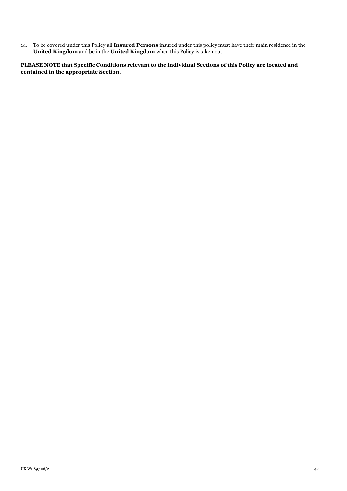14. To be covered under this Policy all **Insured Persons** insured under this policy must have their main residence in the **United Kingdom** and be in the **United Kingdom** when this Policy is taken out.

**PLEASE NOTE that Specific Conditions relevant to the individual Sections of this Policy are located and contained in the appropriate Section.**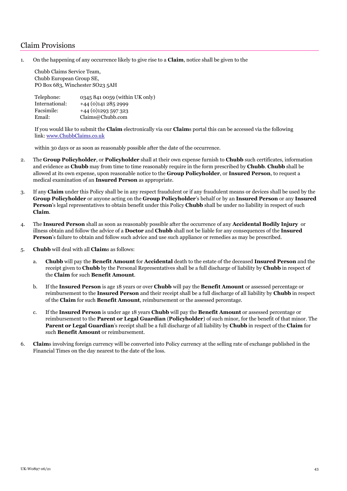# <span id="page-42-0"></span>Claim Provisions

1. On the happening of any occurrence likely to give rise to a **Claim**, notice shall be given to the

Chubb Claims Service Team, Chubb European Group SE, PO Box 683, Winchester SO23 5AH

| Telephone:     | 0345 841 0059 (within UK only) |
|----------------|--------------------------------|
| International: | +44 (0) 141 285 2999           |
| Facsimile:     | $+44(0)1293597323$             |
| Email:         | Claims@Chubb.com               |

If you would like to submit the **Claim** electronically via our **Claim**s portal this can be accessed via the following link: [www.ChubbClaims.co.uk](http://www.chubbclaims.co.uk/)

within 30 days or as soon as reasonably possible after the date of the occurrence.

- 2. The **Group Policyholder**, or **Policyholder** shall at their own expense furnish to **Chubb** such certificates, information and evidence as **Chubb** may from time to time reasonably require in the form prescribed by **Chubb**. **Chubb** shall be allowed at its own expense, upon reasonable notice to the **Group Policyholder**, or **Insured Person**, to request a medical examination of an **Insured Person** as appropriate.
- 3. If any **Claim** under this Policy shall be in any respect fraudulent or if any fraudulent means or devices shall be used by the **Group Policyholder** or anyone acting on the **Group Policyholder**'s behalf or by an **Insured Person** or any **Insured Person**'s legal representatives to obtain benefit under this Policy **Chubb** shall be under no liability in respect of such **Claim**.
- 4. The **Insured Person** shall as soon as reasonably possible after the occurrence of any **Accidental Bodily Injury** or illness obtain and follow the advice of a **Doctor** and **Chubb** shall not be liable for any consequences of the **Insured Person**'s failure to obtain and follow such advice and use such appliance or remedies as may be prescribed.
- 5. **Chubb** will deal with all **Claim**s as follows:
	- a. **Chubb** will pay the **Benefit Amount** for **Accidental** death to the estate of the deceased **Insured Person** and the receipt given to **Chubb** by the Personal Representatives shall be a full discharge of liability by **Chubb** in respect of the **Claim** for such **Benefit Amount**.
	- b. If the **Insured Person** is age 18 years or over **Chubb** will pay the **Benefit Amount** or assessed percentage or reimbursement to the **Insured Person** and their receipt shall be a full discharge of all liability by **Chubb** in respect of the **Claim** for such **Benefit Amount**, reimbursement or the assessed percentage.
	- c. If the **Insured Person** is under age 18 years **Chubb** will pay the **Benefit Amount** or assessed percentage or reimbursement to the **Parent or Legal Guardian** (**Policyholder**) of such minor, for the benefit of that minor. The **Parent or Legal Guardian**'s receipt shall be a full discharge of all liability by **Chubb** in respect of the **Claim** for such **Benefit Amount** or reimbursement.
- 6. **Claim**s involving foreign currency will be converted into Policy currency at the selling rate of exchange published in the Financial Times on the day nearest to the date of the loss.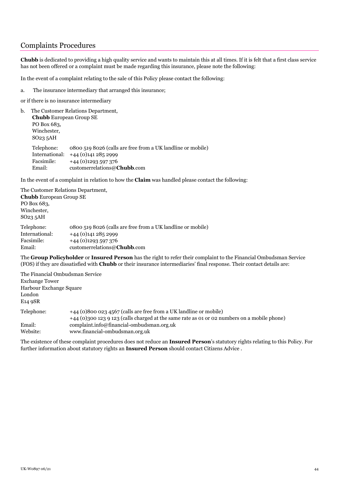# <span id="page-43-0"></span>Complaints Procedures

**Chubb** is dedicated to providing a high quality service and wants to maintain this at all times. If it is felt that a first class service has not been offered or a complaint must be made regarding this insurance, please note the following:

In the event of a complaint relating to the sale of this Policy please contact the following:

- a. The insurance intermediary that arranged this insurance;
- or if there is no insurance intermediary

```
b. The Customer Relations Department, 
Chubb European Group SE
PO Box 683, 
Winchester, 
SO23 5AH
Telephone: 0800 519 8026 (calls are free from a UK landline or mobile) 
International: +44 (0)141 285 2999
Facsimile: +44 (0)1293 597 376
Email: customerrelations@Chubb.com
```
In the event of a complaint in relation to how the **Claim** was handled please contact the following:

The Customer Relations Department, **Chubb** European Group SE PO Box 683, Winchester, SO23 5AH Telephone: 0800 519 8026 (calls are free from a UK landline or mobile) International: +44 (0)141 285 2999

Facsimile: +44 (0)1293 597 376 Email: customerrelations@**Chubb**.com

The **Group Policyholder** or **Insured Person** has the right to refer their complaint to the Financial Ombudsman Service (FOS) if they are dissatisfied with **Chubb** or their insurance intermediaries' final response. Their contact details are:

The Financial Ombudsman Service Exchange Tower Harbour Exchange Square London E14 9SR Telephone: +44 (0)800 023 4567 (calls are free from a UK landline or mobile) +44 (0)300 123 9 123 (calls charged at the same rate as 01 or 02 numbers on a mobile phone) Email: complaint.info@financial-ombudsman.org.uk Website: www.financial-ombudsman.org.uk

The existence of these complaint procedures does not reduce an **Insured Person**'s statutory rights relating to this Policy. For further information about statutory rights an **Insured Person** should contact Citizens Advice .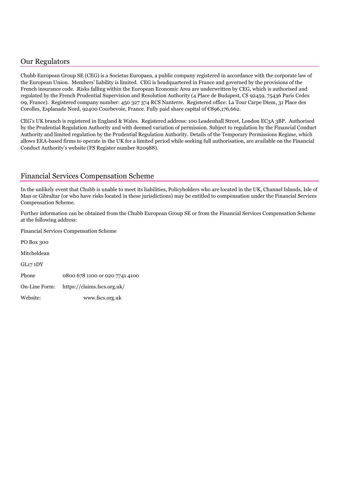# <span id="page-44-0"></span>Our Regulators

Chubb European Group SE (CEG) is a Societas Europaea, a public company registered in accordance with the corporate law of the European Union. Members' liability is limited. CEG is headquartered in France and governed by the provisions of the French insurance code. Risks falling within the European Economic Area are underwritten by CEG, which is authorised and regulated by the French Prudential Supervision and Resolution Authority (4 Place de Budapest, CS 92459, 75436 Paris Cedex 09, France). Registered company number: 450 327 374 RCS Nanterre. Registered office: La Tour Carpe Diem, 31 Place des Corolles, Esplanade Nord, 92400 Courbevoie, France. Fully paid share capital of €896,176,662.

CEG's UK branch is registered in England & Wales. Registered address: 100 Leadenhall Street, London EC3A 3BP. Authorised by the Prudential Regulation Authority and with deemed variation of permission. Subject to regulation by the Financial Conduct Authority and limited regulation by the Prudential Regulation Authority. Details of the Temporary Permissions Regime, which allows EEA-based firms to operate in the UK for a limited period while seeking full authorisation, are available on the Financial Conduct Authority's website (FS Register number 820988).

# <span id="page-44-1"></span>Financial Services Compensation Scheme

In the unlikely event that Chubb is unable to meet its liabilities, Policyholders who are located in the UK, Channel Islands, Isle of Man or Gibraltar (or who have risks located in these jurisdictions) may be entitled to compensation under the Financial Services Compensation Scheme.

Further information can be obtained from the Chubb European Group SE or from the Financial Services Compensation Scheme at the following address:

Financial Services Compensation Scheme

PO Box 300 Mitcheldean GL17 1DY Phone 0800 678 1100 or 020 7741 4100 On-Line Form: https://claims.fscs.org.uk/ Website: www.fscs.org.uk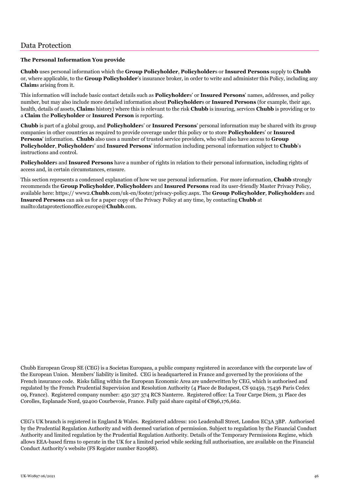#### <span id="page-45-0"></span>**The Personal Information You provide**

**Chubb** uses personal information which the **Group Policyholder**, **Policyholder**s or **Insured Persons** supply to **Chubb** or, where applicable, to the **Group Policyholder**'s insurance broker, in order to write and administer this Policy, including any **Claim**s arising from it.

This information will include basic contact details such as **Policyholder**s' or **Insured Persons**' names, addresses, and policy number, but may also include more detailed information about **Policyholder**s or **Insured Persons** (for example, their age, health, details of assets, **Claim**s history) where this is relevant to the risk **Chubb** is insuring, services **Chubb** is providing or to a **Claim** the **Policyholder** or **Insured Person** is reporting.

**Chubb** is part of a global group, and **Policyholder**s' or **Insured Persons**' personal information may be shared with its group companies in other countries as required to provide coverage under this policy or to store **Policyholder**s' or **Insured Persons**' information. **Chubb** also uses a number of trusted service providers, who will also have access to **Group Policyholder**, **Policyholder**s' and **Insured Persons**' information including personal information subject to **Chubb**'s instructions and control.

**Policyholder**s and **Insured Persons** have a number of rights in relation to their personal information, including rights of access and, in certain circumstances, erasure.

This section represents a condensed explanation of how we use personal information. For more information, **Chubb** strongly recommends the **Group Policyholder**, **Policyholder**s and **Insured Persons** read its user-friendly Master Privacy Policy, available here: https:// www2.**Chubb**.com/uk-en/footer/privacy-policy.aspx. The **Group Policyholder**, **Policyholder**s and **Insured Persons** can ask us for a paper copy of the Privacy Policy at any time, by contacting **Chubb** at mailto:dataprotectionoffice.europe@**Chubb**.com.

Chubb European Group SE (CEG) is a Societas Europaea, a public company registered in accordance with the corporate law of the European Union. Members' liability is limited. CEG is headquartered in France and governed by the provisions of the French insurance code. Risks falling within the European Economic Area are underwritten by CEG, which is authorised and regulated by the French Prudential Supervision and Resolution Authority (4 Place de Budapest, CS 92459, 75436 Paris Cedex 09, France). Registered company number: 450 327 374 RCS Nanterre. Registered office: La Tour Carpe Diem, 31 Place des Corolles, Esplanade Nord, 92400 Courbevoie, France. Fully paid share capital of €896,176,662.

CEG's UK branch is registered in England & Wales. Registered address: 100 Leadenhall Street, London EC3A 3BP. Authorised by the Prudential Regulation Authority and with deemed variation of permission. Subject to regulation by the Financial Conduct Authority and limited regulation by the Prudential Regulation Authority. Details of the Temporary Permissions Regime, which allows EEA-based firms to operate in the UK for a limited period while seeking full authorisation, are available on the Financial Conduct Authority's website (FS Register number 820988).